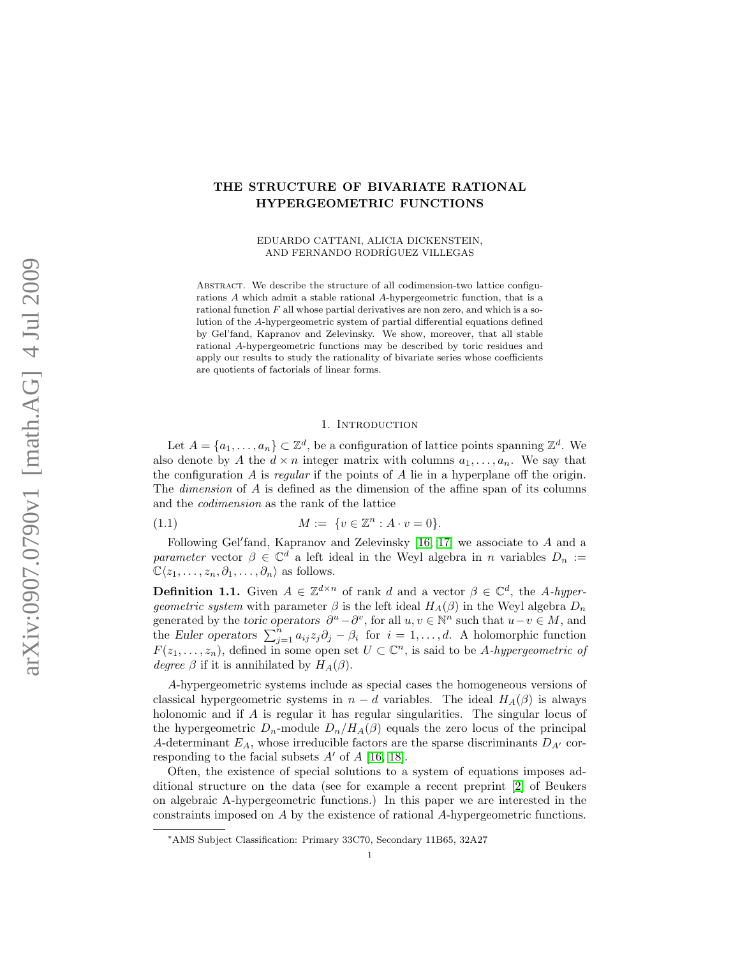# THE STRUCTURE OF BIVARIATE RATIONAL HYPERGEOMETRIC FUNCTIONS

EDUARDO CATTANI, ALICIA DICKENSTEIN, AND FERNANDO RODRÍGUEZ VILLEGAS

ABSTRACT. We describe the structure of all codimension-two lattice configurations A which admit a stable rational A-hypergeometric function, that is a rational function  $F$  all whose partial derivatives are non zero, and which is a solution of the A-hypergeometric system of partial differential equations defined by Gel'fand, Kapranov and Zelevinsky. We show, moreover, that all stable rational A-hypergeometric functions may be described by toric residues and apply our results to study the rationality of bivariate series whose coefficients are quotients of factorials of linear forms.

#### <span id="page-0-0"></span>1. INTRODUCTION

Let  $A = \{a_1, \ldots, a_n\} \subset \mathbb{Z}^d$ , be a configuration of lattice points spanning  $\mathbb{Z}^d$ . We also denote by A the  $d \times n$  integer matrix with columns  $a_1, \ldots, a_n$ . We say that the configuration  $\tilde{A}$  is regular if the points of  $\tilde{A}$  lie in a hyperplane off the origin. The dimension of A is defined as the dimension of the affine span of its columns and the codimension as the rank of the lattice

(1.1) 
$$
M := \{v \in \mathbb{Z}^n : A \cdot v = 0\}.
$$

Following Gel'fand, Kapranov and Zelevinsky  $[16, 17]$  $[16, 17]$  we associate to  $A$  and a parameter vector  $\beta \in \mathbb{C}^d$  a left ideal in the Weyl algebra in n variables  $D_n :=$  $\mathbb{C}\langle z_1, \ldots, z_n, \partial_1, \ldots, \partial_n \rangle$  as follows.

**Definition 1.1.** Given  $A \in \mathbb{Z}^{d \times n}$  of rank d and a vector  $\beta \in \mathbb{C}^d$ , the A-hyper*geometric system* with parameter  $\beta$  is the left ideal  $H_A(\beta)$  in the Weyl algebra  $D_n$ generated by the toric operators  $\partial^u - \partial^v$ , for all  $u, v \in \mathbb{N}^n$  such that  $u - v \in M$ , and the Euler operators  $\sum_{j=1}^{n} a_{ij} z_j \partial_j - \beta_i$  for  $i = 1, ..., d$ . A holomorphic function  $F(z_1,\ldots,z_n)$ , defined in some open set  $U \subset \mathbb{C}^n$ , is said to be A-hypergeometric of degree  $\beta$  if it is annihilated by  $H_A(\beta)$ .

A-hypergeometric systems include as special cases the homogeneous versions of classical hypergeometric systems in  $n - d$  variables. The ideal  $H_A(\beta)$  is always holonomic and if A is regular it has regular singularities. The singular locus of the hypergeometric  $D_n$ -module  $D_n/H_A(\beta)$  equals the zero locus of the principal A-determinant  $E_A$ , whose irreducible factors are the sparse discriminants  $D_{A'}$  corresponding to the facial subsets  $A'$  of  $A$  [\[16,](#page-24-0) [18\]](#page-24-2).

Often, the existence of special solutions to a system of equations imposes additional structure on the data (see for example a recent preprint [\[2\]](#page-23-0) of Beukers on algebraic A-hypergeometric functions.) In this paper we are interested in the constraints imposed on A by the existence of rational A-hypergeometric functions.

<sup>∗</sup>AMS Subject Classification: Primary 33C70, Secondary 11B65, 32A27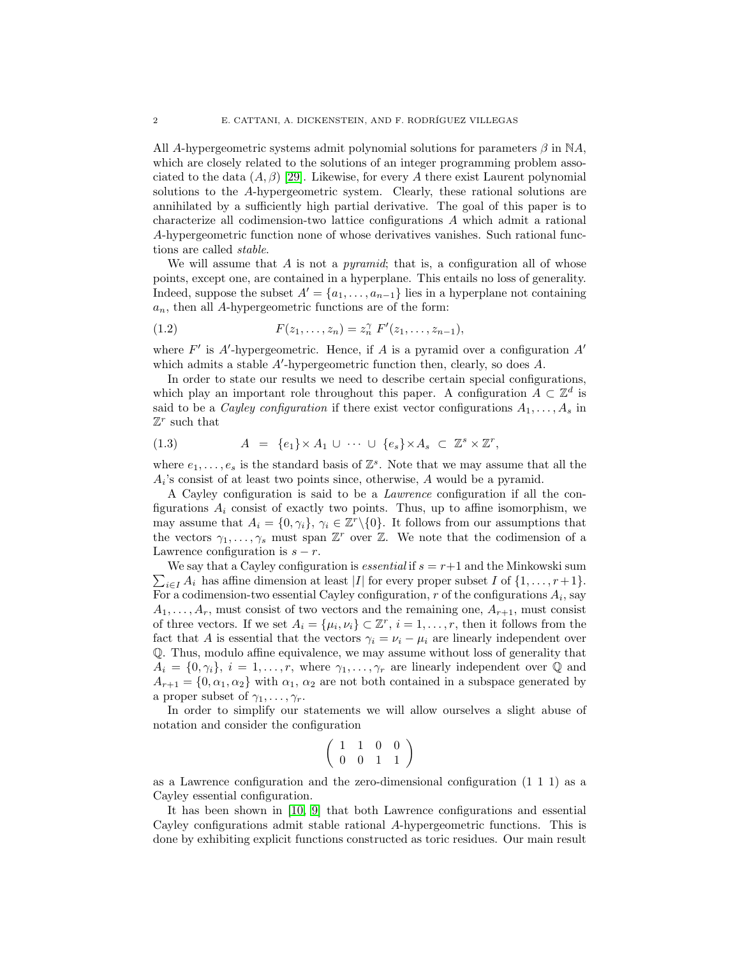All A-hypergeometric systems admit polynomial solutions for parameters  $\beta$  in NA, which are closely related to the solutions of an integer programming problem associated to the data  $(A, \beta)$  [\[29\]](#page-24-3). Likewise, for every A there exist Laurent polynomial solutions to the A-hypergeometric system. Clearly, these rational solutions are annihilated by a sufficiently high partial derivative. The goal of this paper is to characterize all codimension-two lattice configurations A which admit a rational A-hypergeometric function none of whose derivatives vanishes. Such rational functions are called stable.

We will assume that  $A$  is not a *pyramid*; that is, a configuration all of whose points, except one, are contained in a hyperplane. This entails no loss of generality. Indeed, suppose the subset  $A' = \{a_1, \ldots, a_{n-1}\}\$ lies in a hyperplane not containing  $a_n$ , then all A-hypergeometric functions are of the form:

(1.2) 
$$
F(z_1,...,z_n) = z_n^{\gamma} F'(z_1,...,z_{n-1}),
$$

where  $F'$  is A'-hypergeometric. Hence, if A is a pyramid over a configuration  $A'$ which admits a stable  $A'$ -hypergeometric function then, clearly, so does  $A$ .

In order to state our results we need to describe certain special configurations, which play an important role throughout this paper. A configuration  $\tilde{A} \subset \mathbb{Z}^d$  is said to be a *Cayley configuration* if there exist vector configurations  $A_1, \ldots, A_s$  in  $\mathbb{Z}^r$  such that

(1.3) 
$$
A = \{e_1\} \times A_1 \cup \cdots \cup \{e_s\} \times A_s \subset \mathbb{Z}^s \times \mathbb{Z}^r,
$$

where  $e_1, \ldots, e_s$  is the standard basis of  $\mathbb{Z}^s$ . Note that we may assume that all the  $A_i$ 's consist of at least two points since, otherwise,  $A$  would be a pyramid.

A Cayley configuration is said to be a Lawrence configuration if all the configurations  $A_i$  consist of exactly two points. Thus, up to affine isomorphism, we may assume that  $A_i = \{0, \gamma_i\}, \gamma_i \in \mathbb{Z}^r \setminus \{0\}.$  It follows from our assumptions that the vectors  $\gamma_1, \ldots, \gamma_s$  must span  $\mathbb{Z}^r$  over  $\mathbb{Z}$ . We note that the codimension of a Lawrence configuration is  $s - r$ .

 $\sum_{i\in I} A_i$  has affine dimension at least |I| for every proper subset I of  $\{1,\ldots,r+1\}$ . We say that a Cayley configuration is *essential* if  $s = r+1$  and the Minkowski sum For a codimension-two essential Cayley configuration,  $r$  of the configurations  $A_i$ , say  $A_1, \ldots, A_r$ , must consist of two vectors and the remaining one,  $A_{r+1}$ , must consist of three vectors. If we set  $A_i = {\mu_i, \nu_i} \subset \mathbb{Z}^r$ ,  $i = 1, \ldots, r$ , then it follows from the fact that A is essential that the vectors  $\gamma_i = \nu_i - \mu_i$  are linearly independent over Q. Thus, modulo affine equivalence, we may assume without loss of generality that  $A_i = \{0, \gamma_i\}, i = 1, \ldots, r$ , where  $\gamma_1, \ldots, \gamma_r$  are linearly independent over Q and  $A_{r+1} = \{0, \alpha_1, \alpha_2\}$  with  $\alpha_1, \alpha_2$  are not both contained in a subspace generated by a proper subset of  $\gamma_1, \ldots, \gamma_r$ .

In order to simplify our statements we will allow ourselves a slight abuse of notation and consider the configuration

$$
\left(\begin{array}{rrrr}1&1&0&0\\0&0&1&1\end{array}\right)
$$

as a Lawrence configuration and the zero-dimensional configuration (1 1 1) as a Cayley essential configuration.

It has been shown in [\[10,](#page-23-1) [9\]](#page-23-2) that both Lawrence configurations and essential Cayley configurations admit stable rational A-hypergeometric functions. This is done by exhibiting explicit functions constructed as toric residues. Our main result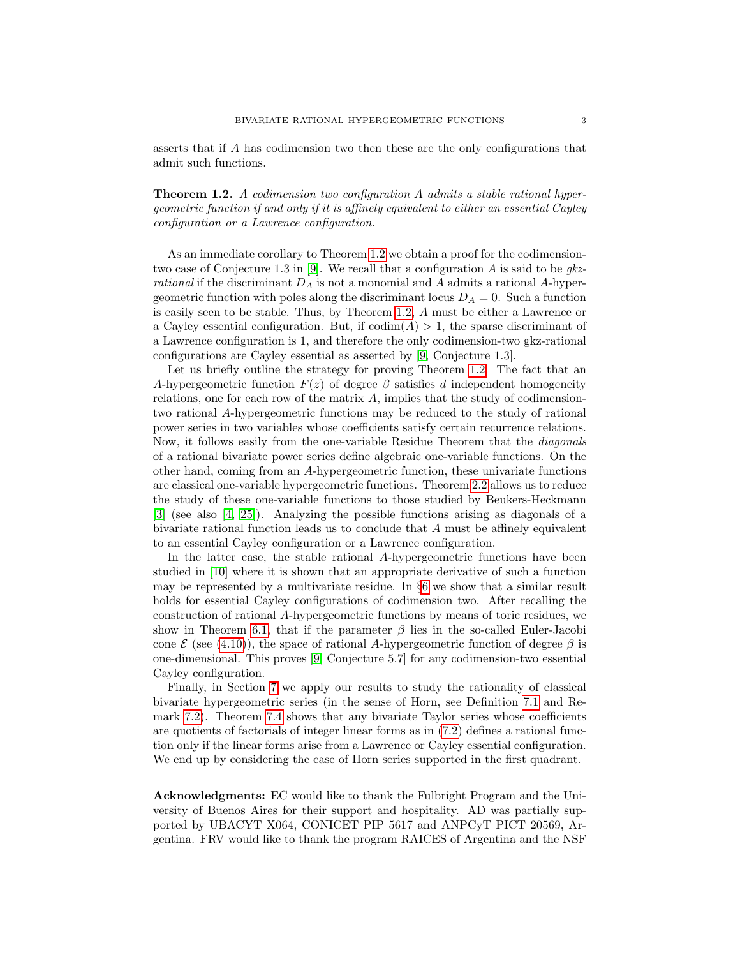asserts that if A has codimension two then these are the only configurations that admit such functions.

<span id="page-2-0"></span>Theorem 1.2. A codimension two configuration A admits a stable rational hypergeometric function if and only if it is affinely equivalent to either an essential Cayley configuration or a Lawrence configuration.

As an immediate corollary to Theorem [1.2](#page-2-0) we obtain a proof for the codimension-two case of Conjecture 1.3 in [\[9\]](#page-23-2). We recall that a configuration  $\vec{A}$  is said to be gkzrational if the discriminant  $D_A$  is not a monomial and A admits a rational A-hypergeometric function with poles along the discriminant locus  $D_A = 0$ . Such a function is easily seen to be stable. Thus, by Theorem [1.2,](#page-2-0) A must be either a Lawrence or a Cayley essential configuration. But, if  $\text{codim}(A) > 1$ , the sparse discriminant of a Lawrence configuration is 1, and therefore the only codimension-two gkz-rational configurations are Cayley essential as asserted by [\[9,](#page-23-2) Conjecture 1.3].

Let us briefly outline the strategy for proving Theorem [1.2.](#page-2-0) The fact that an A-hypergeometric function  $F(z)$  of degree  $\beta$  satisfies d independent homogeneity relations, one for each row of the matrix  $A$ , implies that the study of codimensiontwo rational A-hypergeometric functions may be reduced to the study of rational power series in two variables whose coefficients satisfy certain recurrence relations. Now, it follows easily from the one-variable Residue Theorem that the diagonals of a rational bivariate power series define algebraic one-variable functions. On the other hand, coming from an A-hypergeometric function, these univariate functions are classical one-variable hypergeometric functions. Theorem [2.2](#page-4-0) allows us to reduce the study of these one-variable functions to those studied by Beukers-Heckmann [\[3\]](#page-23-3) (see also [\[4,](#page-23-4) [25\]](#page-24-4)). Analyzing the possible functions arising as diagonals of a bivariate rational function leads us to conclude that A must be affinely equivalent to an essential Cayley configuration or a Lawrence configuration.

In the latter case, the stable rational A-hypergeometric functions have been studied in [\[10\]](#page-23-1) where it is shown that an appropriate derivative of such a function may be represented by a multivariate residue. In §[6](#page-14-0) we show that a similar result holds for essential Cayley configurations of codimension two. After recalling the construction of rational A-hypergeometric functions by means of toric residues, we show in Theorem [6.1,](#page-16-0) that if the parameter  $\beta$  lies in the so-called Euler-Jacobi cone  $\mathcal{E}$  (see [\(4.10\)](#page-10-0)), the space of rational A-hypergeometric function of degree  $\beta$  is one-dimensional. This proves [\[9,](#page-23-2) Conjecture 5.7] for any codimension-two essential Cayley configuration.

Finally, in Section [7](#page-18-0) we apply our results to study the rationality of classical bivariate hypergeometric series (in the sense of Horn, see Definition [7.1](#page-18-1) and Re-mark [7.2\)](#page-18-2). Theorem [7.4](#page-19-0) shows that any bivariate Taylor series whose coefficients are quotients of factorials of integer linear forms as in [\(7.2\)](#page-18-3) defines a rational function only if the linear forms arise from a Lawrence or Cayley essential configuration. We end up by considering the case of Horn series supported in the first quadrant.

Acknowledgments: EC would like to thank the Fulbright Program and the University of Buenos Aires for their support and hospitality. AD was partially supported by UBACYT X064, CONICET PIP 5617 and ANPCyT PICT 20569, Argentina. FRV would like to thank the program RAICES of Argentina and the NSF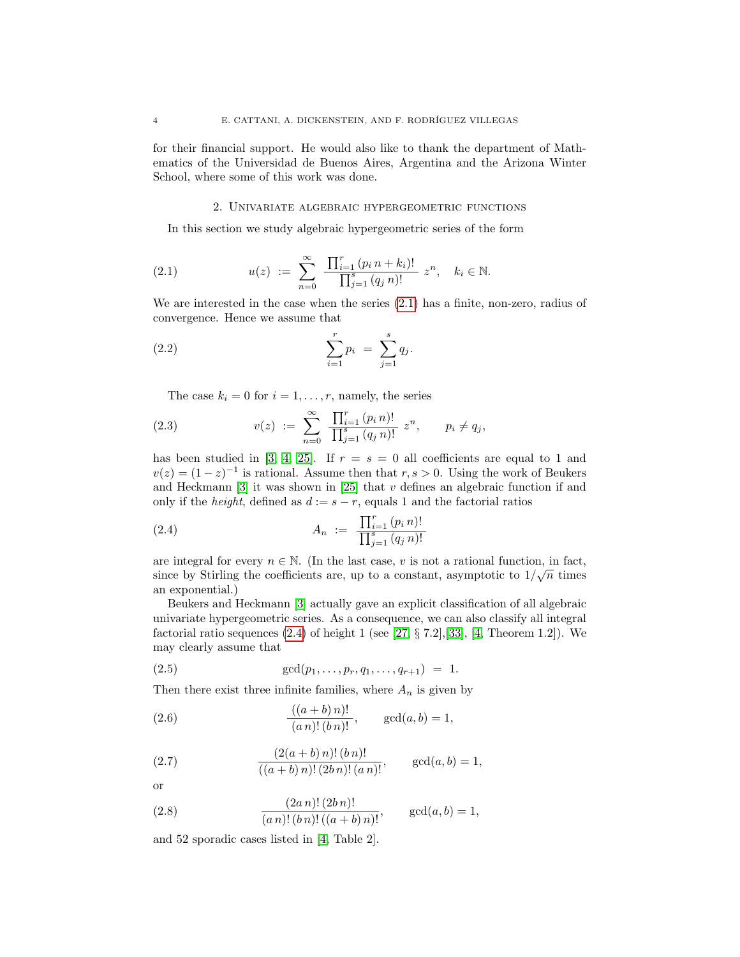for their financial support. He would also like to thank the department of Mathematics of the Universidad de Buenos Aires, Argentina and the Arizona Winter School, where some of this work was done.

### <span id="page-3-0"></span>2. Univariate algebraic hypergeometric functions

<span id="page-3-3"></span>In this section we study algebraic hypergeometric series of the form

(2.1) 
$$
u(z) := \sum_{n=0}^{\infty} \frac{\prod_{i=1}^{r} (p_i n + k_i)!}{\prod_{j=1}^{s} (q_j n)!} z^n, \quad k_i \in \mathbb{N}.
$$

We are interested in the case when the series [\(2.1\)](#page-3-0) has a finite, non-zero, radius of convergence. Hence we assume that

(2.2) 
$$
\sum_{i=1}^{r} p_i = \sum_{j=1}^{s} q_j.
$$

<span id="page-3-2"></span>The case  $k_i = 0$  for  $i = 1, \ldots, r$ , namely, the series

(2.3) 
$$
v(z) := \sum_{n=0}^{\infty} \frac{\prod_{i=1}^{r} (p_i n)!}{\prod_{j=1}^{s} (q_j n)!} z^n, \quad p_i \neq q_j,
$$

has been studied in [\[3,](#page-23-3) [4,](#page-23-4) [25\]](#page-24-4). If  $r = s = 0$  all coefficients are equal to 1 and  $v(z) = (1-z)^{-1}$  is rational. Assume then that  $r, s > 0$ . Using the work of Beukers and Heckmann  $[3]$  it was shown in  $[25]$  that v defines an algebraic function if and only if the *height*, defined as  $d := s - r$ , equals 1 and the factorial ratios

<span id="page-3-1"></span>(2.4) 
$$
A_n := \frac{\prod_{i=1}^r (p_i n)!}{\prod_{j=1}^s (q_j n)!}
$$

are integral for every  $n \in \mathbb{N}$ . (In the last case, v is not a rational function, in fact, since by Stirling the coefficients are, up to a constant, asymptotic to  $1/\sqrt{n}$  times an exponential.)

Beukers and Heckmann [\[3\]](#page-23-3) actually gave an explicit classification of all algebraic univariate hypergeometric series. As a consequence, we can also classify all integral factorial ratio sequences  $(2.4)$  of height 1 (see [\[27,](#page-24-5) § 7.2], [\[33\]](#page-24-6), [\[4,](#page-23-4) Theorem 1.2]). We may clearly assume that

(2.5) 
$$
\gcd(p_1,\ldots,p_r,q_1,\ldots,q_{r+1}) = 1.
$$

Then there exist three infinite families, where  $A_n$  is given by

(2.6) 
$$
\frac{((a+b)n)!}{(an)!(bn)!}, \quad \gcd(a,b)=1,
$$

(2.7) 
$$
\frac{(2(a+b)n)!(b n)!}{((a+b)n)!(2bn)!(an)!}, \quad \gcd(a,b)=1,
$$

or

(2.8) 
$$
\frac{(2a\,n)!\,(2b\,n)!}{(a\,n)!\,(b\,n)!\,(a+b)\,n)!}, \qquad \gcd(a,b)=1,
$$

and 52 sporadic cases listed in [\[4,](#page-23-4) Table 2].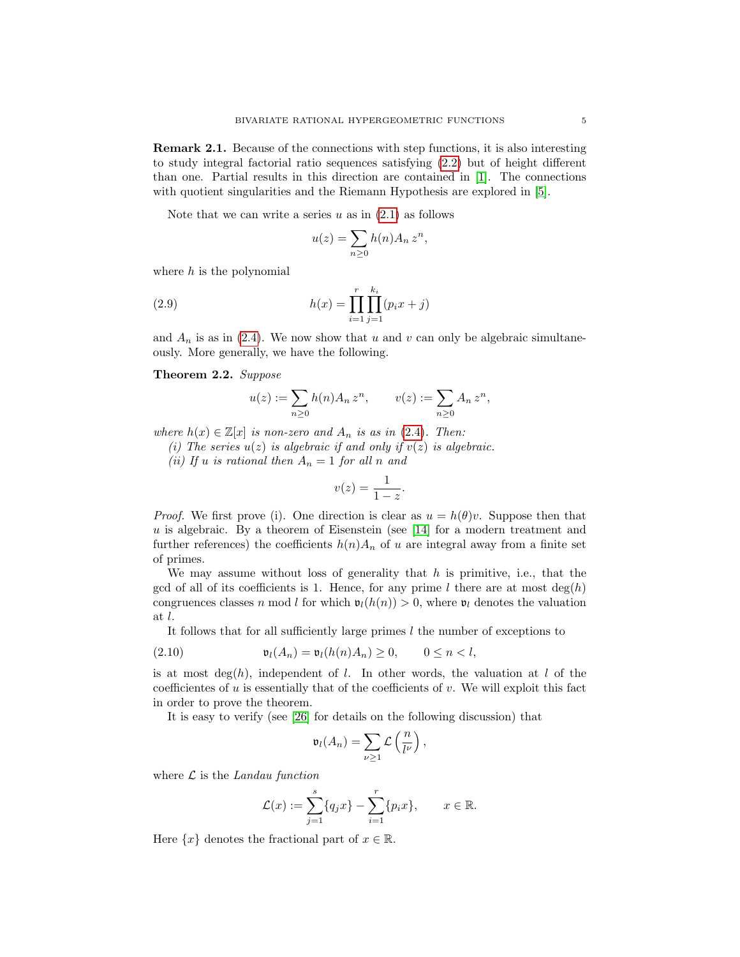Remark 2.1. Because of the connections with step functions, it is also interesting to study integral factorial ratio sequences satisfying [\(2.2\)](#page-3-2) but of height different than one. Partial results in this direction are contained in [\[1\]](#page-23-5). The connections with quotient singularities and the Riemann Hypothesis are explored in [\[5\]](#page-23-6).

Note that we can write a series  $u$  as in  $(2.1)$  as follows

$$
u(z) = \sum_{n \ge 0} h(n) A_n z^n,
$$

where  $h$  is the polynomial

(2.9) 
$$
h(x) = \prod_{i=1}^{r} \prod_{j=1}^{k_i} (p_i x + j)
$$

and  $A_n$  is as in [\(2.4\)](#page-3-1). We now show that u and v can only be algebraic simultaneously. More generally, we have the following.

#### <span id="page-4-0"></span>Theorem 2.2. Suppose

$$
u(z) := \sum_{n\geq 0} h(n) A_n z^n, \qquad v(z) := \sum_{n\geq 0} A_n z^n,
$$

where  $h(x) \in \mathbb{Z}[x]$  is non-zero and  $A_n$  is as in [\(2.4\)](#page-3-1). Then:

(i) The series  $u(z)$  is algebraic if and only if  $v(z)$  is algebraic.

(ii) If u is rational then  $A_n = 1$  for all n and

$$
v(z) = \frac{1}{1-z}.
$$

*Proof.* We first prove (i). One direction is clear as  $u = h(\theta)v$ . Suppose then that  $u$  is algebraic. By a theorem of Eisenstein (see [\[14\]](#page-24-7) for a modern treatment and further references) the coefficients  $h(n)A_n$  of u are integral away from a finite set of primes.

We may assume without loss of generality that  $h$  is primitive, i.e., that the gcd of all of its coefficients is 1. Hence, for any prime l there are at most  $\deg(h)$ congruences classes n mod l for which  $\mathfrak{v}_l(h(n)) > 0$ , where  $\mathfrak{v}_l$  denotes the valuation at l.

<span id="page-4-1"></span>It follows that for all sufficiently large primes  $l$  the number of exceptions to

$$
(2.10) \t\t \mathfrak{v}_l(A_n) = \mathfrak{v}_l(h(n)A_n) \ge 0, \t 0 \le n < l,
$$

is at most deg(h), independent of l. In other words, the valuation at l of the coefficientes of  $u$  is essentially that of the coefficients of  $v$ . We will exploit this fact in order to prove the theorem.

It is easy to verify (see [\[26\]](#page-24-8) for details on the following discussion) that

$$
\mathfrak{v}_l(A_n)=\sum_{\nu\geq 1}\mathcal{L}\left(\frac{n}{l^{\nu}}\right),
$$

where  $\mathcal L$  is the Landau function

$$
\mathcal{L}(x) := \sum_{j=1}^{s} \{q_j x\} - \sum_{i=1}^{r} \{p_i x\}, \qquad x \in \mathbb{R}.
$$

Here  $\{x\}$  denotes the fractional part of  $x \in \mathbb{R}$ .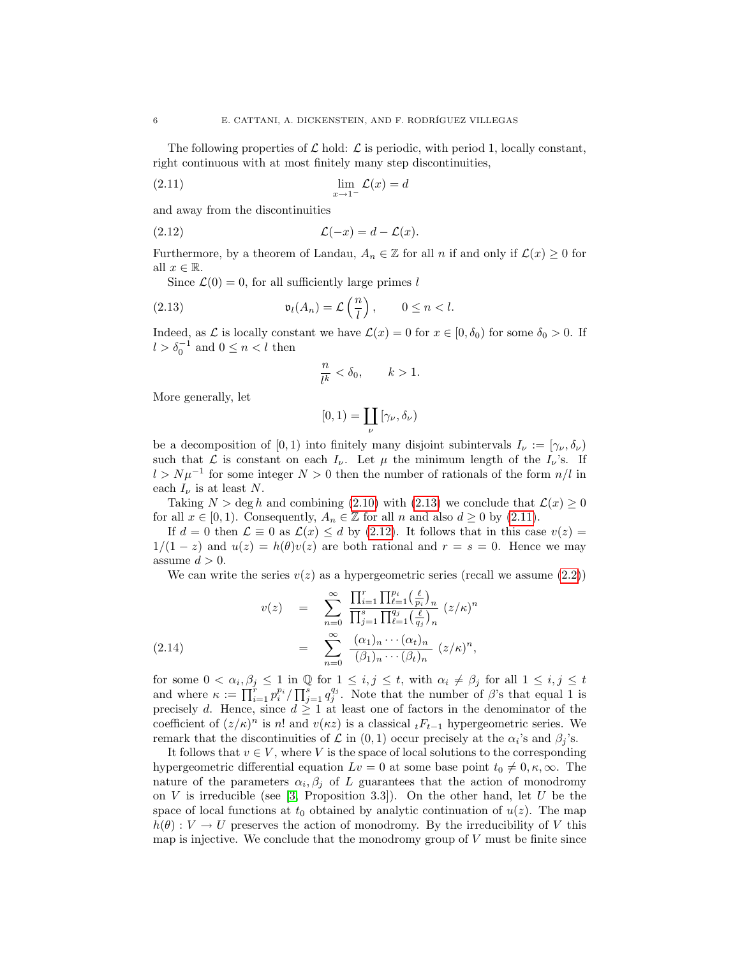The following properties of  $\mathcal L$  hold:  $\mathcal L$  is periodic, with period 1, locally constant, right continuous with at most finitely many step discontinuities,

<span id="page-5-1"></span>
$$
\lim_{x \to 1^{-}} \mathcal{L}(x) = d
$$

and away from the discontinuities

$$
(2.12) \qquad \mathcal{L}(-x) = d - \mathcal{L}(x).
$$

Furthermore, by a theorem of Landau,  $A_n \in \mathbb{Z}$  for all n if and only if  $\mathcal{L}(x) \geq 0$  for all  $x \in \mathbb{R}$ .

Since  $\mathcal{L}(0) = 0$ , for all sufficiently large primes l

(2.13) 
$$
\mathfrak{v}_l(A_n) = \mathcal{L}\left(\frac{n}{l}\right), \qquad 0 \leq n < l.
$$

Indeed, as L is locally constant we have  $\mathcal{L}(x) = 0$  for  $x \in [0, \delta_0)$  for some  $\delta_0 > 0$ . If  $l > \delta_0^{-1}$  and  $0 \leq n < l$  then

<span id="page-5-2"></span><span id="page-5-0"></span>
$$
\frac{n}{l^k} < \delta_0, \qquad k > 1.
$$

More generally, let

$$
[0,1) = \coprod_{\nu} [\gamma_{\nu}, \delta_{\nu})
$$

be a decomposition of [0, 1) into finitely many disjoint subintervals  $I_{\nu} := [\gamma_{\nu}, \delta_{\nu})$ such that  $\mathcal L$  is constant on each  $I_{\nu}$ . Let  $\mu$  the minimum length of the  $I_{\nu}$ 's. If  $l > N\mu^{-1}$  for some integer  $N > 0$  then the number of rationals of the form  $n/l$  in each  $I_{\nu}$  is at least N.

Taking  $N > \deg h$  and combining [\(2.10\)](#page-4-1) with [\(2.13\)](#page-5-0) we conclude that  $\mathcal{L}(x) \geq 0$ for all  $x \in [0,1)$ . Consequently,  $A_n \in \mathbb{Z}$  for all n and also  $d \ge 0$  by [\(2.11\)](#page-5-1).

If  $d = 0$  then  $\mathcal{L} \equiv 0$  as  $\mathcal{L}(x) \leq d$  by [\(2.12\)](#page-5-2). It follows that in this case  $v(z) =$  $1/(1-z)$  and  $u(z) = h(\theta)v(z)$  are both rational and  $r = s = 0$ . Hence we may assume  $d > 0$ .

We can write the series  $v(z)$  as a hypergeometric series (recall we assume  $(2.2)$ )

(2.14) 
$$
v(z) = \sum_{n=0}^{\infty} \frac{\prod_{i=1}^{r} \prod_{\ell=1}^{p_i} \left(\frac{\ell}{p_i}\right)_n}{\prod_{j=1}^{s} \prod_{\ell=1}^{q_j} \left(\frac{\ell}{q_j}\right)_n} (z/\kappa)^n = \sum_{n=0}^{\infty} \frac{(\alpha_1)_n \cdots (\alpha_t)_n}{(\beta_1)_n \cdots (\beta_t)_n} (z/\kappa)^n,
$$

for some  $0 < \alpha_i, \beta_j \leq 1$  in  $\mathbb Q$  for  $1 \leq i, j \leq t$ , with  $\alpha_i \neq \beta_j$  for all  $1 \leq i, j \leq t$ and where  $\kappa := \prod_{i=1}^r p_i^{p_i} / \prod_{j=1}^s q_j^{q_j}$ . Note that the number of  $\beta$ 's that equal 1 is precisely d. Hence, since  $d \geq 1$  at least one of factors in the denominator of the coefficient of  $(z/\kappa)^n$  is n! and  $v(\kappa z)$  is a classical  $tF_{t-1}$  hypergeometric series. We remark that the discontinuities of  $\mathcal L$  in  $(0,1)$  occur precisely at the  $\alpha_i$ 's and  $\beta_j$ 's.

It follows that  $v \in V$ , where V is the space of local solutions to the corresponding hypergeometric differential equation  $Lv = 0$  at some base point  $t_0 \neq 0, \kappa, \infty$ . The nature of the parameters  $\alpha_i, \beta_j$  of L guarantees that the action of monodromy on  $V$  is irreducible (see [\[3,](#page-23-3) Proposition 3.3]). On the other hand, let  $U$  be the space of local functions at  $t_0$  obtained by analytic continuation of  $u(z)$ . The map  $h(\theta): V \to U$  preserves the action of monodromy. By the irreducibility of V this map is injective. We conclude that the monodromy group of  $V$  must be finite since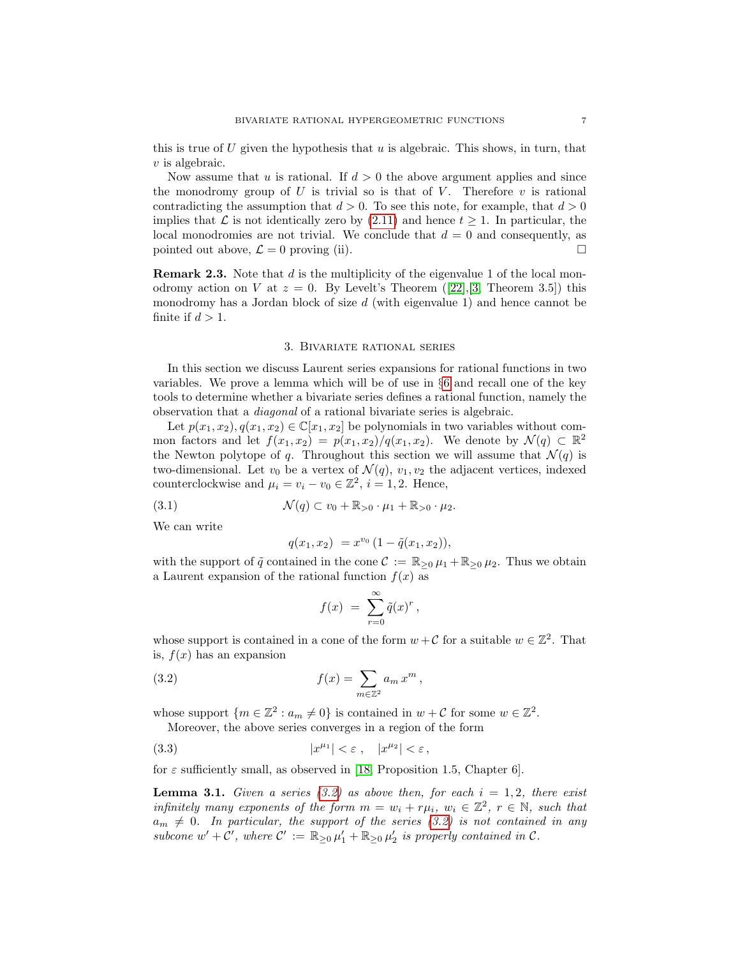this is true of U given the hypothesis that  $u$  is algebraic. This shows, in turn, that  $v$  is algebraic.

Now assume that u is rational. If  $d > 0$  the above argument applies and since the monodromy group of  $U$  is trivial so is that of  $V$ . Therefore  $v$  is rational contradicting the assumption that  $d > 0$ . To see this note, for example, that  $d > 0$ implies that  $\mathcal L$  is not identically zero by [\(2.11\)](#page-5-1) and hence  $t \geq 1$ . In particular, the local monodromies are not trivial. We conclude that  $d = 0$  and consequently, as pointed out above,  $\mathcal{L} = 0$  proving (ii).

**Remark 2.3.** Note that  $d$  is the multiplicity of the eigenvalue 1 of the local monodromyaction on V at  $z = 0$ . By Levelt's Theorem ([\[22\]](#page-24-9), [\[3,](#page-23-3) Theorem 3.5]) this monodromy has a Jordan block of size  $d$  (with eigenvalue 1) and hence cannot be finite if  $d > 1$ .

#### 3. Bivariate rational series

In this section we discuss Laurent series expansions for rational functions in two variables. We prove a lemma which will be of use in §[6](#page-14-0) and recall one of the key tools to determine whether a bivariate series defines a rational function, namely the observation that a diagonal of a rational bivariate series is algebraic.

Let  $p(x_1, x_2), q(x_1, x_2) \in \mathbb{C}[x_1, x_2]$  be polynomials in two variables without common factors and let  $f(x_1, x_2) = p(x_1, x_2)/q(x_1, x_2)$ . We denote by  $\mathcal{N}(q) \subset \mathbb{R}^2$ the Newton polytope of q. Throughout this section we will assume that  $\mathcal{N}(q)$  is two-dimensional. Let  $v_0$  be a vertex of  $\mathcal{N}(q)$ ,  $v_1, v_2$  the adjacent vertices, indexed counterclockwise and  $\mu_i = v_i - v_0 \in \mathbb{Z}^2$ ,  $i = 1, 2$ . Hence,

$$
\mathcal{N}(q) \subset v_0 + \mathbb{R}_{>0} \cdot \mu_1 + \mathbb{R}_{>0} \cdot \mu_2.
$$

We can write

$$
q(x_1, x_2) = x^{v_0} (1 - \tilde{q}(x_1, x_2)),
$$

with the support of  $\tilde{q}$  contained in the cone  $\mathcal{C} := \mathbb{R}_{\geq 0} \mu_1 + \mathbb{R}_{\geq 0} \mu_2$ . Thus we obtain a Laurent expansion of the rational function  $f(x)$  as

<span id="page-6-0"></span>
$$
f(x) = \sum_{r=0}^{\infty} \tilde{q}(x)^r,
$$

whose support is contained in a cone of the form  $w + C$  for a suitable  $w \in \mathbb{Z}^2$ . That is,  $f(x)$  has an expansion

(3.2) 
$$
f(x) = \sum_{m \in \mathbb{Z}^2} a_m x^m,
$$

whose support  $\{m \in \mathbb{Z}^2 : a_m \neq 0\}$  is contained in  $w + C$  for some  $w \in \mathbb{Z}^2$ . Moreover, the above series converges in a region of the form

$$
(3.3) \t\t |x^{\mu_1}| < \varepsilon \t, \t |x^{\mu_2}| < \varepsilon \t,
$$

for  $\varepsilon$  sufficiently small, as observed in [\[18,](#page-24-2) Proposition 1.5, Chapter 6].

<span id="page-6-1"></span>**Lemma 3.1.** Given a series [\(3.2\)](#page-6-0) as above then, for each  $i = 1, 2$ , there exist infinitely many exponents of the form  $m = w_i + r\mu_i$ ,  $w_i \in \mathbb{Z}^2$ ,  $r \in \mathbb{N}$ , such that  $a_m \neq 0$ . In particular, the support of the series [\(3.2\)](#page-6-0) is not contained in any subcone  $w' + \bar{C}'$ , where  $C' := \mathbb{R}_{\geq 0} \mu'_1 + \mathbb{R}_{\geq 0} \mu'_2$  is properly contained in  $C$ .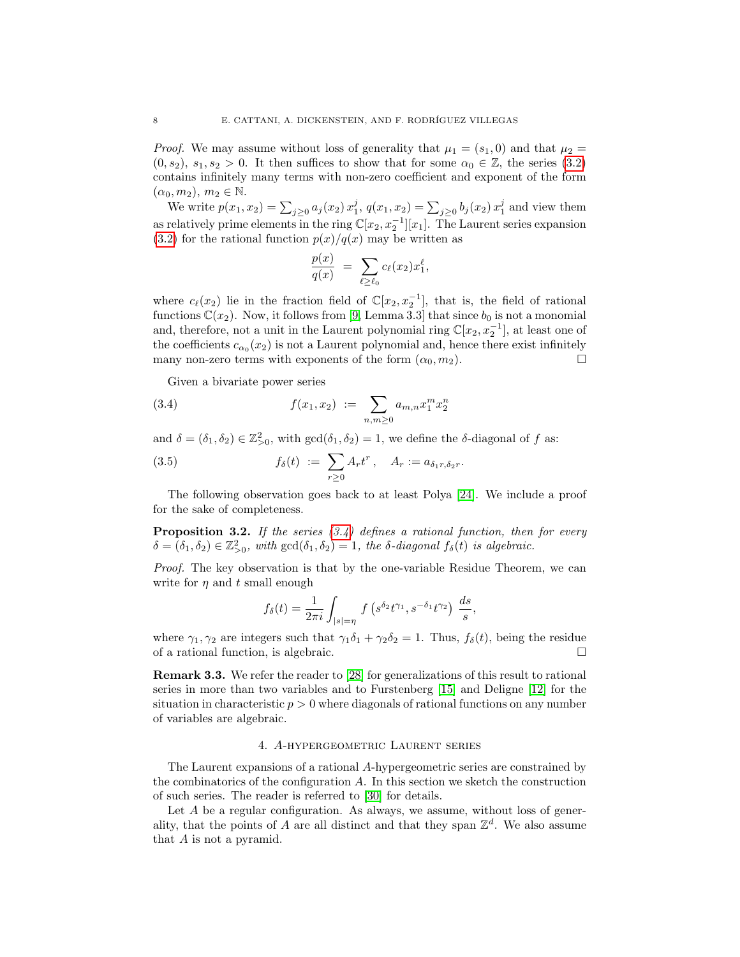*Proof.* We may assume without loss of generality that  $\mu_1 = (s_1, 0)$  and that  $\mu_2 =$  $(0, s_2), s_1, s_2 > 0$ . It then suffices to show that for some  $\alpha_0 \in \mathbb{Z}$ , the series [\(3.2\)](#page-6-0) contains infinitely many terms with non-zero coefficient and exponent of the form  $(\alpha_0, m_2), m_2 \in \mathbb{N}.$ 

We write  $p(x_1, x_2) = \sum_{j \geq 0} a_j(x_2) x_1^j$ ,  $q(x_1, x_2) = \sum_{j \geq 0} b_j(x_2) x_1^j$  and view them as relatively prime elements in the ring  $\mathbb{C}[x_2, x_2^{-1}][x_1]$ . The Laurent series expansion  $(3.2)$  for the rational function  $p(x)/q(x)$  may be written as

$$
\frac{p(x)}{q(x)} = \sum_{\ell \geq \ell_0} c_{\ell}(x_2) x_1^{\ell},
$$

where  $c_{\ell}(x_2)$  lie in the fraction field of  $\mathbb{C}[x_2, x_2^{-1}]$ , that is, the field of rational functions  $\mathbb{C}(x_2)$ . Now, it follows from [\[9,](#page-23-2) Lemma 3.3] that since  $b_0$  is not a monomial and, therefore, not a unit in the Laurent polynomial ring  $\mathbb{C}[x_2, x_2^{-1}]$ , at least one of the coefficients  $c_{\alpha_0}(x_2)$  is not a Laurent polynomial and, hence there exist infinitely many non-zero terms with exponents of the form  $(\alpha_0, m_2)$ .

<span id="page-7-0"></span>Given a bivariate power series

(3.4) 
$$
f(x_1, x_2) := \sum_{n,m \geq 0} a_{m,n} x_1^m x_2^n
$$

and  $\delta = (\delta_1, \delta_2) \in \mathbb{Z}_{>0}^2$ , with  $gcd(\delta_1, \delta_2) = 1$ , we define the  $\delta$ -diagonal of f as:

(3.5) 
$$
f_{\delta}(t) := \sum_{r \geq 0} A_r t^r, \quad A_r := a_{\delta_1 r, \delta_2 r}.
$$

The following observation goes back to at least Polya [\[24\]](#page-24-10). We include a proof for the sake of completeness.

<span id="page-7-2"></span>**Proposition 3.2.** If the series  $(3.4)$  defines a rational function, then for every  $\delta = (\delta_1, \delta_2) \in \mathbb{Z}_{>0}^2$ , with  $gcd(\delta_1, \delta_2) = 1$ , the  $\delta$ -diagonal  $f_{\delta}(t)$  is algebraic.

Proof. The key observation is that by the one-variable Residue Theorem, we can write for  $\eta$  and t small enough

$$
f_{\delta}(t) = \frac{1}{2\pi i} \int_{|s|=\eta} f\left(s^{\delta_2} t^{\gamma_1}, s^{-\delta_1} t^{\gamma_2}\right) \frac{ds}{s},
$$

where  $\gamma_1, \gamma_2$  are integers such that  $\gamma_1 \delta_1 + \gamma_2 \delta_2 = 1$ . Thus,  $f_\delta(t)$ , being the residue of a rational function, is algebraic.

Remark 3.3. We refer the reader to [\[28\]](#page-24-11) for generalizations of this result to rational series in more than two variables and to Furstenberg [\[15\]](#page-24-12) and Deligne [\[12\]](#page-24-13) for the situation in characteristic  $p > 0$  where diagonals of rational functions on any number of variables are algebraic.

#### 4. A-hypergeometric Laurent series

<span id="page-7-1"></span>The Laurent expansions of a rational A-hypergeometric series are constrained by the combinatorics of the configuration A. In this section we sketch the construction of such series. The reader is referred to [\[30\]](#page-24-14) for details.

Let A be a regular configuration. As always, we assume, without loss of generality, that the points of A are all distinct and that they span  $\mathbb{Z}^d$ . We also assume that A is not a pyramid.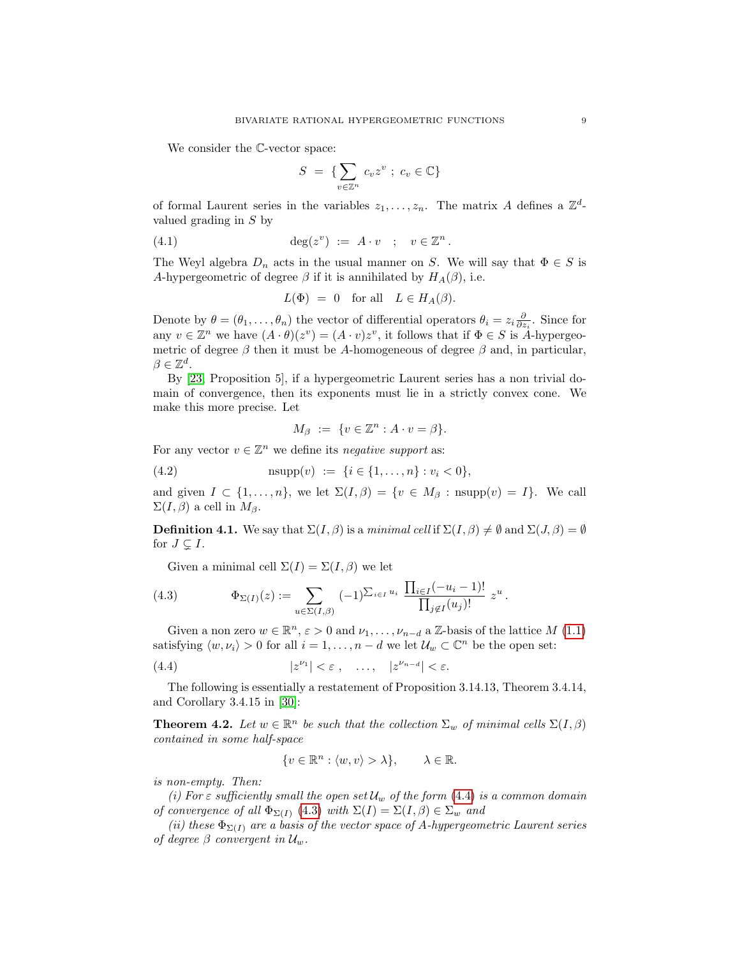We consider the C-vector space:

$$
S = \{ \sum_{v \in \mathbb{Z}^n} c_v z^v \; ; \; c_v \in \mathbb{C} \}
$$

of formal Laurent series in the variables  $z_1, \ldots, z_n$ . The matrix A defines a  $\mathbb{Z}^d$ valued grading in S by

(4.1) 
$$
\deg(z^v) := A \cdot v \quad ; \quad v \in \mathbb{Z}^n.
$$

The Weyl algebra  $D_n$  acts in the usual manner on S. We will say that  $\Phi \in S$  is A-hypergeometric of degree  $\beta$  if it is annihilated by  $H_A(\beta)$ , i.e.

$$
L(\Phi) = 0
$$
 for all  $L \in H_A(\beta)$ .

Denote by  $\theta = (\theta_1, \dots, \theta_n)$  the vector of differential operators  $\theta_i = z_i \frac{\partial}{\partial z_i}$ . Since for any  $v \in \mathbb{Z}^n$  we have  $(A \cdot \theta)(z^v) = (A \cdot v)z^v$ , it follows that if  $\Phi \in S$  is A-hypergeometric of degree  $\beta$  then it must be A-homogeneous of degree  $\beta$  and, in particular,  $\beta \in \mathbb{Z}^d$ .

By [\[23,](#page-24-15) Proposition 5], if a hypergeometric Laurent series has a non trivial domain of convergence, then its exponents must lie in a strictly convex cone. We make this more precise. Let

$$
M_{\beta} := \{ v \in \mathbb{Z}^n : A \cdot v = \beta \}.
$$

For any vector  $v \in \mathbb{Z}^n$  we define its negative support as:

(4.2) 
$$
n \sup p(v) := \{i \in \{1, ..., n\} : v_i < 0\},
$$

and given  $I \subset \{1,\ldots,n\}$ , we let  $\Sigma(I,\beta) = \{v \in M_\beta : \text{nsupp}(v) = I\}$ . We call  $\Sigma(I,\beta)$  a cell in  $M_{\beta}$ .

**Definition 4.1.** We say that  $\Sigma(I, \beta)$  is a minimal cell if  $\Sigma(I, \beta) \neq \emptyset$  and  $\Sigma(J, \beta) = \emptyset$ for  $J \subsetneq I$ .

<span id="page-8-1"></span>Given a minimal cell  $\Sigma(I) = \Sigma(I, \beta)$  we let

(4.3) 
$$
\Phi_{\Sigma(I)}(z) := \sum_{u \in \Sigma(I,\beta)} (-1)^{\sum_{i \in I} u_i} \frac{\prod_{i \in I} (-u_i - 1)!}{\prod_{j \notin I} (u_j)!} z^u.
$$

Given a non zero  $w \in \mathbb{R}^n$ ,  $\varepsilon > 0$  and  $\nu_1, \ldots, \nu_{n-d}$  a  $\mathbb{Z}$ -basis of the lattice  $M$  [\(1.1\)](#page-0-0) satisfying  $\langle w, \nu_i \rangle > 0$  for all  $i = 1, ..., n - d$  we let  $\mathcal{U}_w \subset \mathbb{C}^n$  be the open set:

(4.4) 
$$
|z^{\nu_1}| < \varepsilon , \quad \dots , \quad |z^{\nu_{n-d}}| < \varepsilon.
$$

The following is essentially a restatement of Proposition 3.14.13, Theorem 3.4.14, and Corollary 3.4.15 in [\[30\]](#page-24-14):

<span id="page-8-2"></span>**Theorem 4.2.** Let  $w \in \mathbb{R}^n$  be such that the collection  $\Sigma_w$  of minimal cells  $\Sigma(I, \beta)$ contained in some half-space

<span id="page-8-0"></span>
$$
\{v \in \mathbb{R}^n : \langle w, v \rangle > \lambda\}, \qquad \lambda \in \mathbb{R}.
$$

is non-empty. Then:

(i) For  $\varepsilon$  sufficiently small the open set  $\mathcal{U}_w$  of the form [\(4.4\)](#page-8-0) is a common domain of convergence of all  $\Phi_{\Sigma(I)}$  [\(4.3\)](#page-8-1) with  $\Sigma(I) = \Sigma(I, \beta) \in \Sigma_w$  and

(ii) these  $\Phi_{\Sigma(I)}$  are a basis of the vector space of A-hypergeometric Laurent series of degree  $\beta$  convergent in  $\mathcal{U}_w$ .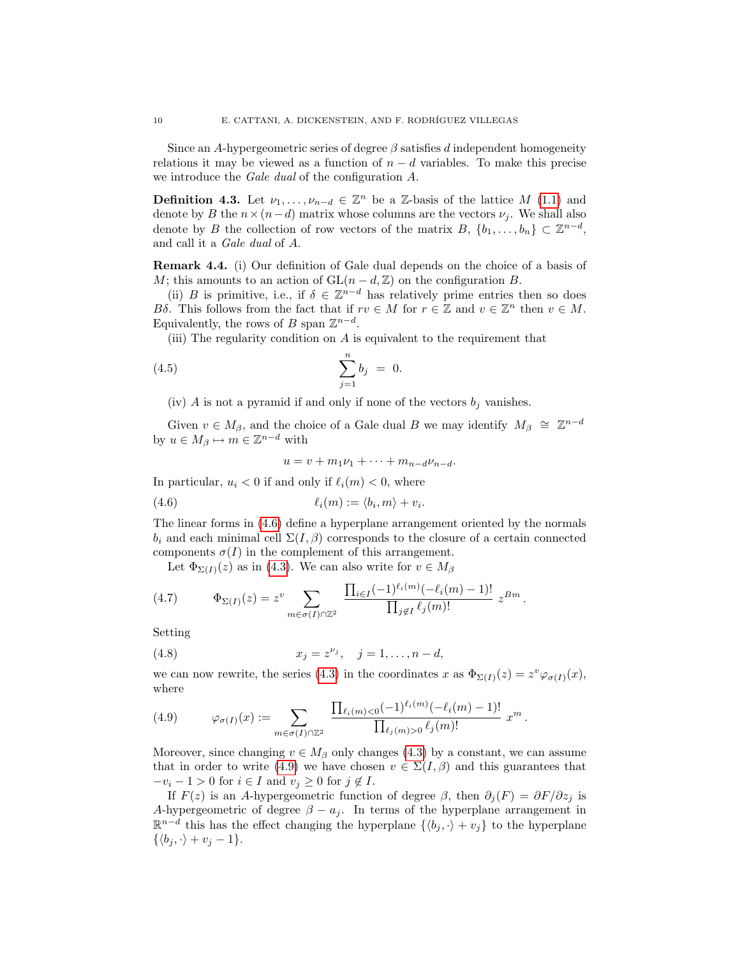Since an A-hypergeometric series of degree  $\beta$  satisfies d independent homogeneity relations it may be viewed as a function of  $n - d$  variables. To make this precise we introduce the Gale dual of the configuration A.

**Definition 4.3.** Let  $\nu_1, \ldots, \nu_{n-d} \in \mathbb{Z}^n$  be a  $\mathbb{Z}$ -basis of the lattice  $M$  [\(1.1\)](#page-0-0) and denote by B the  $n \times (n-d)$  matrix whose columns are the vectors  $\nu_i$ . We shall also denote by B the collection of row vectors of the matrix  $B, \{b_1, \ldots, b_n\} \subset \mathbb{Z}^{n-d}$ , and call it a Gale dual of A.

Remark 4.4. (i) Our definition of Gale dual depends on the choice of a basis of M; this amounts to an action of  $GL(n-d, \mathbb{Z})$  on the configuration B.

(ii) B is primitive, i.e., if  $\delta \in \mathbb{Z}^{n-d}$  has relatively prime entries then so does Bδ. This follows from the fact that if  $rv \in M$  for  $r \in \mathbb{Z}$  and  $v \in \mathbb{Z}^n$  then  $v \in M$ . Equivalently, the rows of B span  $\mathbb{Z}^{n-d}$ .

(iii) The regularity condition on  $A$  is equivalent to the requirement that

(4.5) 
$$
\sum_{j=1}^{n} b_j = 0.
$$

(iv) A is not a pyramid if and only if none of the vectors  $b_j$  vanishes.

Given  $v \in M_\beta$ , and the choice of a Gale dual B we may identify  $M_\beta \cong \mathbb{Z}^{n-d}$ by  $u \in M_\beta \mapsto m \in \mathbb{Z}^{n-d}$  with

<span id="page-9-0"></span>
$$
u = v + m_1\nu_1 + \cdots + m_{n-d}\nu_{n-d}.
$$

In particular,  $u_i < 0$  if and only if  $\ell_i(m) < 0$ , where

$$
(4.6) \qquad \qquad \ell_i(m) := \langle b_i, m \rangle + v_i.
$$

The linear forms in [\(4.6\)](#page-9-0) define a hyperplane arrangement oriented by the normals  $b_i$  and each minimal cell  $\Sigma(I,\beta)$  corresponds to the closure of a certain connected components  $\sigma(I)$  in the complement of this arrangement.

Let  $\Phi_{\Sigma(I)}(z)$  as in [\(4.3\)](#page-8-1). We can also write for  $v \in M_\beta$ 

(4.7) 
$$
\Phi_{\Sigma(I)}(z) = z^v \sum_{m \in \sigma(I) \cap \mathbb{Z}^2} \frac{\prod_{i \in I} (-1)^{\ell_i(m)} (-\ell_i(m) - 1)!}{\prod_{j \notin I} \ell_j(m)!} z^{Bm}.
$$

Setting

<span id="page-9-2"></span>(4.8) 
$$
x_j = z^{\nu_j}, \quad j = 1, ..., n - d,
$$

we can now rewrite, the series [\(4.3\)](#page-8-1) in the coordinates x as  $\Phi_{\Sigma(I)}(z) = z^v \varphi_{\sigma(I)}(x)$ , where

<span id="page-9-1"></span>(4.9) 
$$
\varphi_{\sigma(I)}(x) := \sum_{m \in \sigma(I) \cap \mathbb{Z}^2} \frac{\prod_{\ell_i(m) < 0} (-1)^{\ell_i(m)} (-\ell_i(m) - 1)!}{\prod_{\ell_j(m) > 0} \ell_j(m)!} x^m.
$$

Moreover, since changing  $v \in M_\beta$  only changes [\(4.3\)](#page-8-1) by a constant, we can assume that in order to write [\(4.9\)](#page-9-1) we have chosen  $v \in \Sigma(I, \beta)$  and this guarantees that  $-v_i - 1 > 0$  for  $i \in I$  and  $v_j \ge 0$  for  $j \notin I$ .

If  $F(z)$  is an A-hypergeometric function of degree  $\beta$ , then  $\partial_i(F) = \partial F/\partial z_i$  is A-hypergeometric of degree  $\beta - a_j$ . In terms of the hyperplane arrangement in  $\mathbb{R}^{n-d}$  this has the effect changing the hyperplane  $\{\langle b_j, \cdot \rangle + v_j\}$  to the hyperplane  $\{\langle b_i, \cdot \rangle + v_i - 1\}.$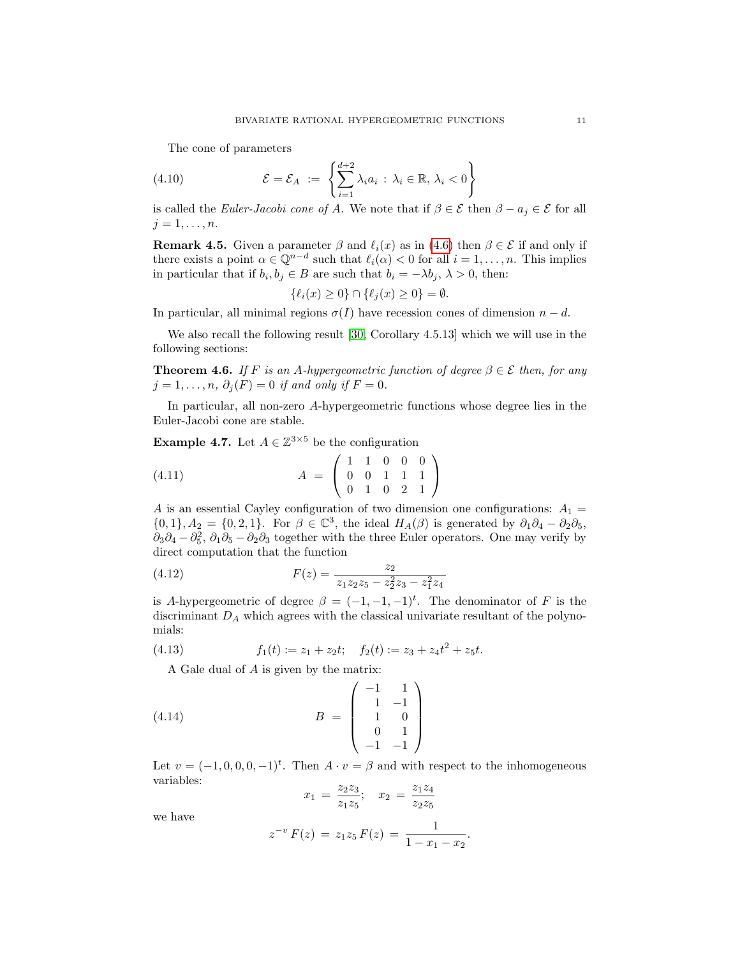<span id="page-10-0"></span>The cone of parameters

(4.10) 
$$
\mathcal{E} = \mathcal{E}_A := \left\{ \sum_{i=1}^{d+2} \lambda_i a_i : \lambda_i \in \mathbb{R}, \lambda_i < 0 \right\}
$$

is called the Euler-Jacobi cone of A. We note that if  $\beta \in \mathcal{E}$  then  $\beta - a_j \in \mathcal{E}$  for all  $j=1,\ldots,n$ .

<span id="page-10-4"></span>**Remark 4.5.** Given a parameter  $\beta$  and  $\ell_i(x)$  as in [\(4.6\)](#page-9-0) then  $\beta \in \mathcal{E}$  if and only if there exists a point  $\alpha \in \mathbb{Q}^{n-d}$  such that  $\ell_i(\alpha) < 0$  for all  $i = 1, \ldots, n$ . This implies in particular that if  $b_i, b_j \in B$  are such that  $b_i = -\lambda b_j, \lambda > 0$ , then:

$$
\{\ell_i(x)\geq 0\}\cap \{\ell_j(x)\geq 0\}=\emptyset.
$$

In particular, all minimal regions  $\sigma(I)$  have recession cones of dimension  $n - d$ .

We also recall the following result [\[30,](#page-24-14) Corollary 4.5.13] which we will use in the following sections:

**Theorem 4.6.** If F is an A-hypergeometric function of degree  $\beta \in \mathcal{E}$  then, for any  $j = 1, \ldots, n, \, \partial_j(F) = 0$  if and only if  $F = 0$ .

In particular, all non-zero A-hypergeometric functions whose degree lies in the Euler-Jacobi cone are stable.

<span id="page-10-1"></span>**Example 4.7.** Let  $A \in \mathbb{Z}^{3 \times 5}$  be the configuration

$$
(4.11) \t\t A = \begin{pmatrix} 1 & 1 & 0 & 0 & 0 \\ 0 & 0 & 1 & 1 & 1 \\ 0 & 1 & 0 & 2 & 1 \end{pmatrix}
$$

A is an essential Cayley configuration of two dimension one configurations:  $A_1 =$  $\{0,1\}, A_2 = \{0,2,1\}.$  For  $\beta \in \mathbb{C}^3$ , the ideal  $H_A(\beta)$  is generated by  $\partial_1 \partial_4 - \partial_2 \partial_5$ ,  $\partial_3\partial_4-\partial_5^2$ ,  $\partial_1\partial_5-\partial_2\partial_3$  together with the three Euler operators. One may verify by direct computation that the function

<span id="page-10-3"></span>(4.12) 
$$
F(z) = \frac{z_2}{z_1 z_2 z_5 - z_2^2 z_3 - z_1^2 z_4}
$$

is A-hypergeometric of degree  $\beta = (-1, -1, -1)^t$ . The denominator of F is the discriminant  $D_A$  which agrees with the classical univariate resultant of the polynomials:

(4.13) 
$$
f_1(t) := z_1 + z_2 t; \quad f_2(t) := z_3 + z_4 t^2 + z_5 t.
$$

<span id="page-10-5"></span>A Gale dual of A is given by the matrix:

$$
(4.14) \t\t B = \begin{pmatrix} -1 & 1 \\ 1 & -1 \\ 1 & 0 \\ 0 & 1 \\ -1 & -1 \end{pmatrix}
$$

Let  $v = (-1, 0, 0, 0, -1)^t$ . Then  $A \cdot v = \beta$  and with respect to the inhomogeneous variables:

<span id="page-10-2"></span>
$$
x_1 = \frac{z_2 z_3}{z_1 z_5}; \quad x_2 = \frac{z_1 z_4}{z_2 z_5}
$$

we have

$$
z^{-v} F(z) = z_1 z_5 F(z) = \frac{1}{1 - x_1 - x_2}.
$$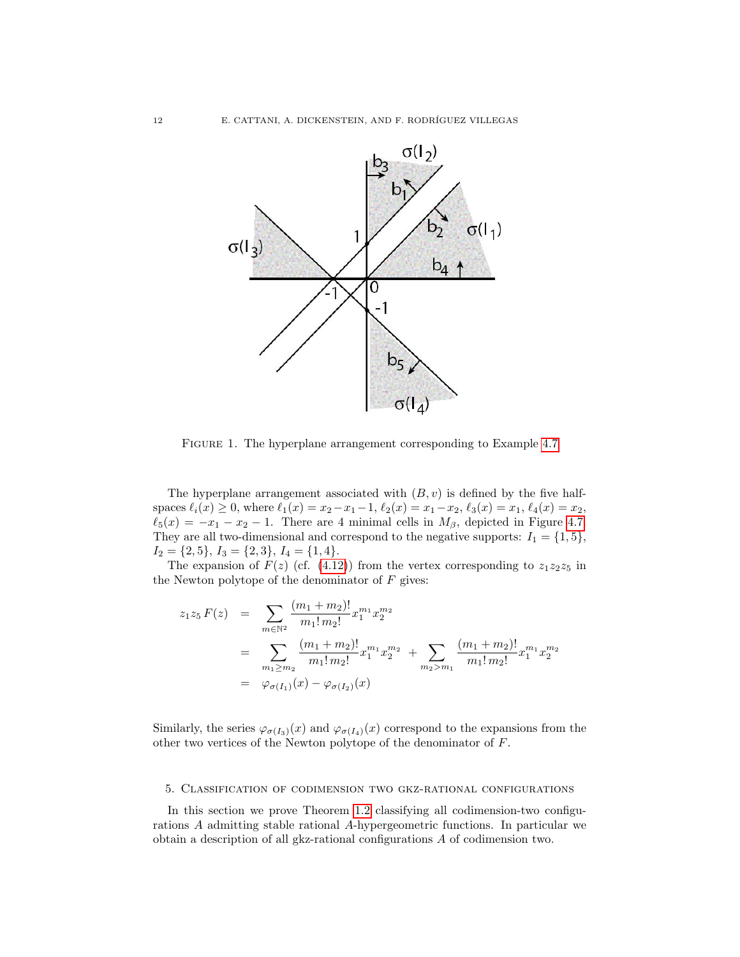

Figure 1. The hyperplane arrangement corresponding to Example [4.7](#page-10-1)

The hyperplane arrangement associated with  $(B, v)$  is defined by the five halfspaces  $\ell_i(x) \geq 0$ , where  $\ell_1(x) = x_2-x_1-1$ ,  $\ell_2(x) = x_1-x_2$ ,  $\ell_3(x) = x_1$ ,  $\ell_4(x) = x_2$ ,  $\ell_5(x) = -x_1 - x_2 - 1$ . There are 4 minimal cells in  $M_\beta$ , depicted in Figure [4.7.](#page-10-2) They are all two-dimensional and correspond to the negative supports:  $I_1 = \{1, 5\}$ ,  $I_2 = \{2, 5\}, I_3 = \{2, 3\}, I_4 = \{1, 4\}.$ 

The expansion of  $F(z)$  (cf. [\(4.12\)](#page-10-3)) from the vertex corresponding to  $z_1z_2z_5$  in the Newton polytope of the denominator of  $F$  gives:

$$
z_1 z_5 F(z) = \sum_{m \in \mathbb{N}^2} \frac{(m_1 + m_2)!}{m_1! m_2!} x_1^{m_1} x_2^{m_2}
$$
  
= 
$$
\sum_{m_1 \ge m_2} \frac{(m_1 + m_2)!}{m_1! m_2!} x_1^{m_1} x_2^{m_2} + \sum_{m_2 > m_1} \frac{(m_1 + m_2)!}{m_1! m_2!} x_1^{m_1} x_2^{m_2}
$$
  
= 
$$
\varphi_{\sigma(I_1)}(x) - \varphi_{\sigma(I_2)}(x)
$$

Similarly, the series  $\varphi_{\sigma(I_3)}(x)$  and  $\varphi_{\sigma(I_4)}(x)$  correspond to the expansions from the other two vertices of the Newton polytope of the denominator of F.

#### 5. Classification of codimension two gkz-rational configurations

In this section we prove Theorem [1.2](#page-2-0) classifying all codimension-two configurations A admitting stable rational A-hypergeometric functions. In particular we obtain a description of all gkz-rational configurations A of codimension two.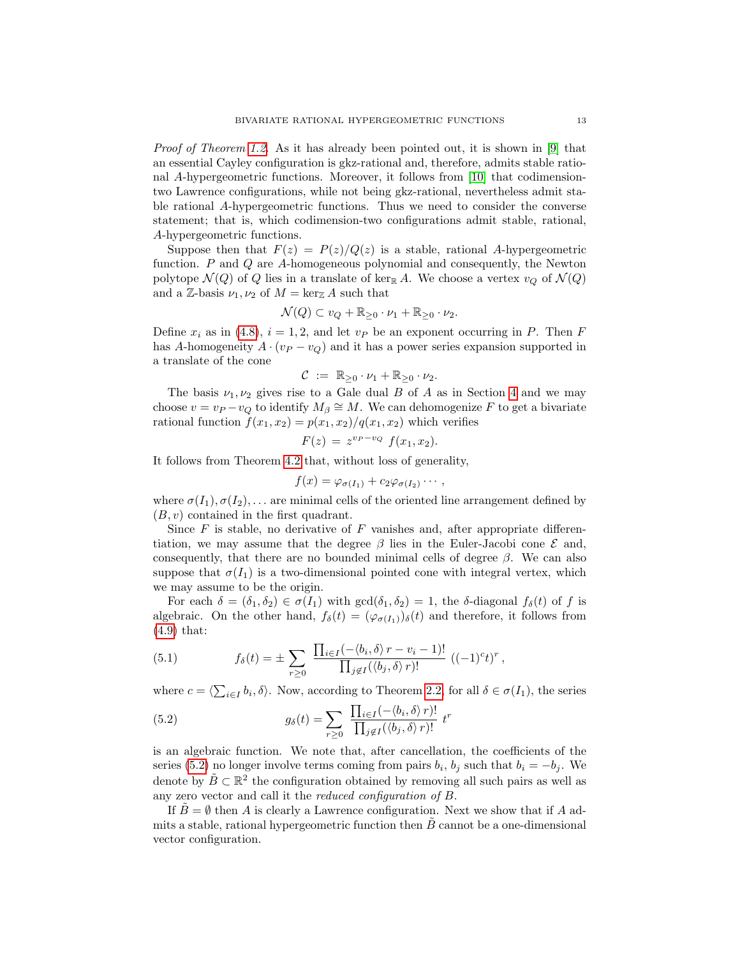Proof of Theorem [1.2.](#page-2-0) As it has already been pointed out, it is shown in [\[9\]](#page-23-2) that an essential Cayley configuration is gkz-rational and, therefore, admits stable rational A-hypergeometric functions. Moreover, it follows from [\[10\]](#page-23-1) that codimensiontwo Lawrence configurations, while not being gkz-rational, nevertheless admit stable rational A-hypergeometric functions. Thus we need to consider the converse statement; that is, which codimension-two configurations admit stable, rational, A-hypergeometric functions.

Suppose then that  $F(z) = P(z)/Q(z)$  is a stable, rational A-hypergeometric function. P and Q are A-homogeneous polynomial and consequently, the Newton polytope  $\mathcal{N}(Q)$  of Q lies in a translate of ker<sub>R</sub> A. We choose a vertex  $v_Q$  of  $\mathcal{N}(Q)$ and a Z-basis  $\nu_1, \nu_2$  of  $M = \ker_{\mathbb{Z}} A$  such that

$$
\mathcal{N}(Q) \subset v_Q + \mathbb{R}_{\geq 0} \cdot \nu_1 + \mathbb{R}_{\geq 0} \cdot \nu_2.
$$

Define  $x_i$  as in [\(4.8\)](#page-9-2),  $i = 1, 2$ , and let  $v_P$  be an exponent occurring in P. Then F has A-homogeneity  $A \cdot (v_P - v_Q)$  and it has a power series expansion supported in a translate of the cone

$$
\mathcal{C} := \mathbb{R}_{\geq 0} \cdot \nu_1 + \mathbb{R}_{\geq 0} \cdot \nu_2.
$$

The basis  $\nu_1, \nu_2$  gives rise to a Gale dual B of A as in Section [4](#page-7-1) and we may choose  $v = v_P - v_Q$  to identify  $M_\beta \cong M$ . We can dehomogenize F to get a bivariate rational function  $f(x_1, x_2) = p(x_1, x_2)/q(x_1, x_2)$  which verifies

$$
F(z) = z^{v_P - v_Q} f(x_1, x_2).
$$

It follows from Theorem [4.2](#page-8-2) that, without loss of generality,

$$
f(x) = \varphi_{\sigma(I_1)} + c_2 \varphi_{\sigma(I_2)} \cdots,
$$

where  $\sigma(I_1), \sigma(I_2), \ldots$  are minimal cells of the oriented line arrangement defined by  $(B, v)$  contained in the first quadrant.

Since  $F$  is stable, no derivative of  $F$  vanishes and, after appropriate differentiation, we may assume that the degree  $\beta$  lies in the Euler-Jacobi cone  $\mathcal E$  and, consequently, that there are no bounded minimal cells of degree  $\beta$ . We can also suppose that  $\sigma(I_1)$  is a two-dimensional pointed cone with integral vertex, which we may assume to be the origin.

For each  $\delta = (\delta_1, \delta_2) \in \sigma(I_1)$  with  $gcd(\delta_1, \delta_2) = 1$ , the  $\delta$ -diagonal  $f_{\delta}(t)$  of f is algebraic. On the other hand,  $f_{\delta}(t) = (\varphi_{\sigma(I_1)})_{\delta}(t)$  and therefore, it follows from [\(4.9\)](#page-9-1) that:

(5.1) 
$$
f_{\delta}(t) = \pm \sum_{r \geq 0} \frac{\prod_{i \in I} (-\langle b_i, \delta \rangle r - v_i - 1)!}{\prod_{j \notin I} (\langle b_j, \delta \rangle r)!} ((-1)^c t)^r,
$$

where  $c = \langle \sum_{i \in I} b_i, \delta \rangle$ . Now, according to Theorem [2.2,](#page-4-0) for all  $\delta \in \sigma(I_1)$ , the series

<span id="page-12-0"></span>(5.2) 
$$
g_{\delta}(t) = \sum_{r \geq 0} \frac{\prod_{i \in I} (-\langle b_i, \delta \rangle r)!}{\prod_{j \notin I} (\langle b_j, \delta \rangle r)!} t^r
$$

is an algebraic function. We note that, after cancellation, the coefficients of the series [\(5.2\)](#page-12-0) no longer involve terms coming from pairs  $b_i$ ,  $b_j$  such that  $b_i = -b_j$ . We denote by  $\tilde{B} \subset \mathbb{R}^2$  the configuration obtained by removing all such pairs as well as any zero vector and call it the reduced configuration of B.

If  $\hat{B} = \emptyset$  then A is clearly a Lawrence configuration. Next we show that if A admits a stable, rational hypergeometric function then  $B$  cannot be a one-dimensional vector configuration.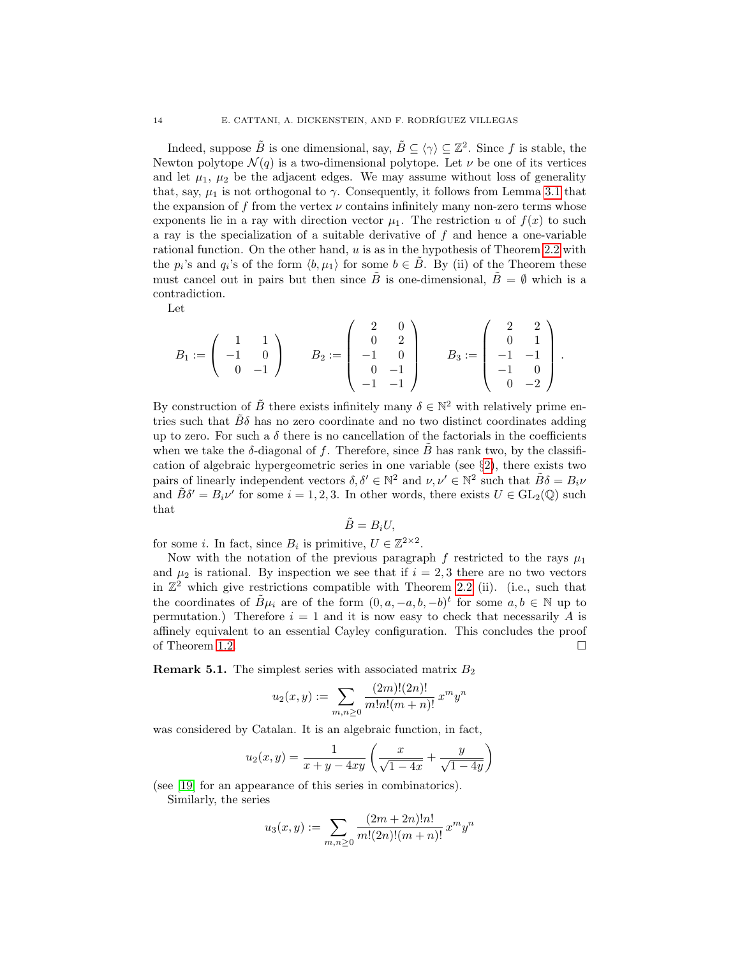Indeed, suppose  $\tilde{B}$  is one dimensional, say,  $\tilde{B} \subseteq \langle \gamma \rangle \subseteq \mathbb{Z}^2$ . Since f is stable, the Newton polytope  $\mathcal{N}(q)$  is a two-dimensional polytope. Let  $\nu$  be one of its vertices and let  $\mu_1$ ,  $\mu_2$  be the adjacent edges. We may assume without loss of generality that, say,  $\mu_1$  is not orthogonal to  $\gamma$ . Consequently, it follows from Lemma [3.1](#page-6-1) that the expansion of f from the vertex  $\nu$  contains infinitely many non-zero terms whose exponents lie in a ray with direction vector  $\mu_1$ . The restriction u of  $f(x)$  to such a ray is the specialization of a suitable derivative of f and hence a one-variable rational function. On the other hand,  $u$  is as in the hypothesis of Theorem [2.2](#page-4-0) with the  $p_i$ 's and  $q_i$ 's of the form  $\langle b, \mu_1 \rangle$  for some  $b \in \tilde{B}$ . By (ii) of the Theorem these must cancel out in pairs but then since  $\tilde{B}$  is one-dimensional,  $\tilde{B} = \emptyset$  which is a contradiction.

Let

$$
B_1:=\left(\begin{array}{cc}1 & 1 \\ -1 & 0 \\ 0 & -1\end{array}\right) \qquad B_2:=\left(\begin{array}{cc}2 & 0 \\ 0 & 2 \\ -1 & 0 \\ 0 & -1 \\ -1 & -1\end{array}\right) \qquad B_3:=\left(\begin{array}{cc}2 & 2 \\ 0 & 1 \\ -1 & -1 \\ 0 & -2\end{array}\right)\,.
$$

By construction of  $\tilde{B}$  there exists infinitely many  $\delta \in \mathbb{N}^2$  with relatively prime entries such that  $\hat{B}\delta$  has no zero coordinate and no two distinct coordinates adding up to zero. For such a  $\delta$  there is no cancellation of the factorials in the coefficients when we take the  $\delta$ -diagonal of f. Therefore, since  $\hat{B}$  has rank two, by the classification of algebraic hypergeometric series in one variable (see §[2\)](#page-3-3), there exists two pairs of linearly independent vectors  $\delta, \delta' \in \mathbb{N}^2$  and  $\nu, \nu' \in \mathbb{N}^2$  such that  $\tilde{B}\delta = B_i \nu$ and  $\tilde{B}\delta' = B_i \nu'$  for some  $i = 1, 2, 3$ . In other words, there exists  $U \in GL_2(\mathbb{Q})$  such that

$$
\tilde{B}=B_iU,
$$

for some *i*. In fact, since  $B_i$  is primitive,  $U \in \mathbb{Z}^{2 \times 2}$ .

Now with the notation of the previous paragraph f restricted to the rays  $\mu_1$ and  $\mu_2$  is rational. By inspection we see that if  $i = 2, 3$  there are no two vectors in  $\mathbb{Z}^2$  which give restrictions compatible with Theorem [2.2](#page-4-0) (ii). (i.e., such that the coordinates of  $\tilde{B}\mu_i$  are of the form  $(0, a, -a, b, -b)^t$  for some  $a, b \in \mathbb{N}$  up to permutation.) Therefore  $i = 1$  and it is now easy to check that necessarily A is affinely equivalent to an essential Cayley configuration. This concludes the proof of Theorem [1.2.](#page-2-0)  $\Box$ 

**Remark 5.1.** The simplest series with associated matrix  $B_2$ 

$$
u_2(x,y) := \sum_{m,n \ge 0} \frac{(2m)!(2n)!}{m!n!(m+n)!} x^m y^n
$$

was considered by Catalan. It is an algebraic function, in fact,

$$
u_2(x,y) = \frac{1}{x+y-4xy} \left( \frac{x}{\sqrt{1-4x}} + \frac{y}{\sqrt{1-4y}} \right)
$$

(see [\[19\]](#page-24-16) for an appearance of this series in combinatorics).

Similarly, the series

$$
u_3(x,y) := \sum_{m,n \geq 0} \frac{(2m+2n)!n!}{m!(2n)!(m+n)!} x^m y^n
$$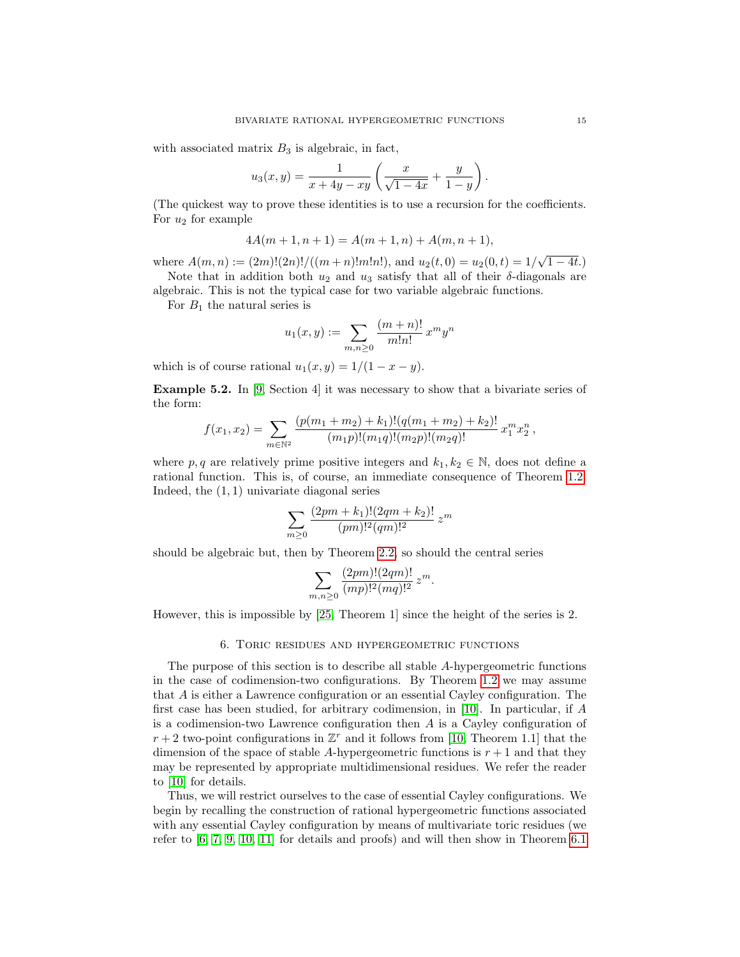with associated matrix  $B_3$  is algebraic, in fact,

$$
u_3(x,y) = \frac{1}{x+4y-xy} \left( \frac{x}{\sqrt{1-4x}} + \frac{y}{1-y} \right).
$$

(The quickest way to prove these identities is to use a recursion for the coefficients. For  $u_2$  for example

$$
4A(m + 1, n + 1) = A(m + 1, n) + A(m, n + 1),
$$

where  $A(m, n) := (2m)! (2n)! / ((m+n)!m!n!)$ , and  $u_2(t, 0) = u_2(0, t) = 1/\sqrt{1-4t}$ . Note that in addition both  $u_2$  and  $u_3$  satisfy that all of their  $\delta$ -diagonals are

algebraic. This is not the typical case for two variable algebraic functions.

For  $B_1$  the natural series is

$$
u_1(x,y) := \sum_{m,n \ge 0} \frac{(m+n)!}{m!n!} x^m y^n
$$

which is of course rational  $u_1(x, y) = 1/(1 - x - y)$ .

Example 5.2. In [\[9,](#page-23-2) Section 4] it was necessary to show that a bivariate series of the form:

$$
f(x_1,x_2)=\sum_{m\in\mathbb{N}^2}\frac{(p(m_1+m_2)+k_1)!(q(m_1+m_2)+k_2)!}{(m_1p)!(m_1q)!(m_2p)!(m_2q)!}x_1^mx_2^n,
$$

where p, q are relatively prime positive integers and  $k_1, k_2 \in \mathbb{N}$ , does not define a rational function. This is, of course, an immediate consequence of Theorem [1.2.](#page-2-0) Indeed, the (1, 1) univariate diagonal series

$$
\sum_{m\geq 0} \frac{(2pm+k_1)!(2qm+k_2)!}{(pm)!^2(qm)!^2} z^m
$$

should be algebraic but, then by Theorem [2.2,](#page-4-0) so should the central series

$$
\sum_{m,n\geq 0} \frac{(2pm)!(2qm)!}{(mp)!^2(mq)!^2} z^m.
$$

However, this is impossible by [\[25,](#page-24-4) Theorem 1] since the height of the series is 2.

#### 6. Toric residues and hypergeometric functions

<span id="page-14-0"></span>The purpose of this section is to describe all stable A-hypergeometric functions in the case of codimension-two configurations. By Theorem [1.2](#page-2-0) we may assume that A is either a Lawrence configuration or an essential Cayley configuration. The first case has been studied, for arbitrary codimension, in [\[10\]](#page-23-1). In particular, if A is a codimension-two Lawrence configuration then A is a Cayley configuration of  $r + 2$  two-point configurations in  $\mathbb{Z}^r$  and it follows from [\[10,](#page-23-1) Theorem 1.1] that the dimension of the space of stable A-hypergeometric functions is  $r + 1$  and that they may be represented by appropriate multidimensional residues. We refer the reader to [\[10\]](#page-23-1) for details.

Thus, we will restrict ourselves to the case of essential Cayley configurations. We begin by recalling the construction of rational hypergeometric functions associated with any essential Cayley configuration by means of multivariate toric residues (we refer to [\[6,](#page-23-7) [7,](#page-23-8) [9,](#page-23-2) [10,](#page-23-1) [11\]](#page-24-17) for details and proofs) and will then show in Theorem [6.1](#page-16-0)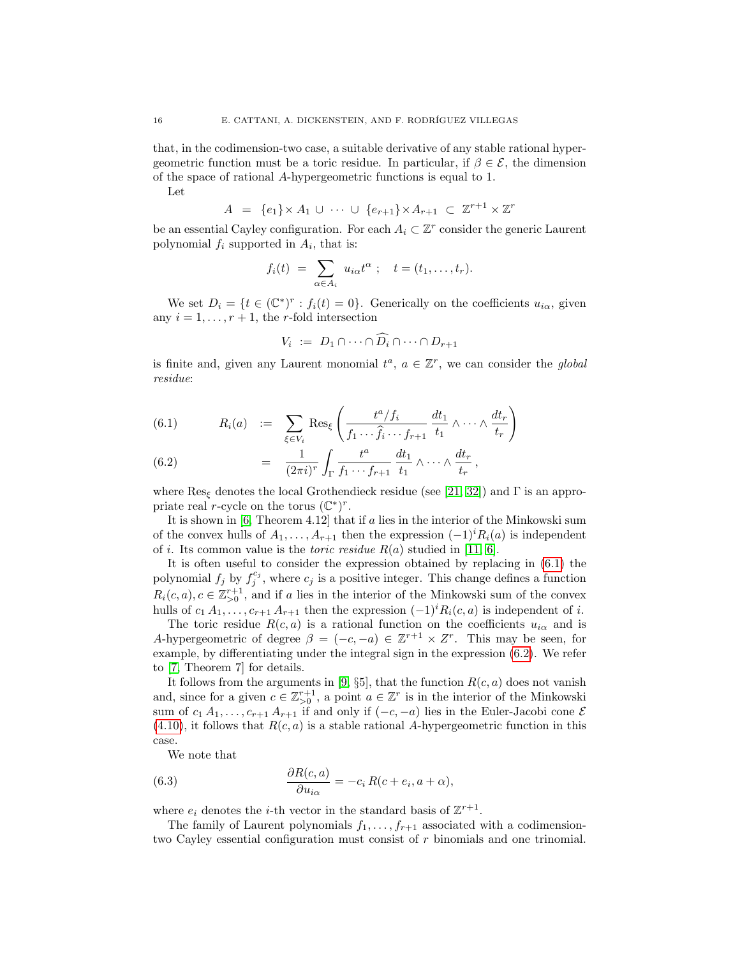that, in the codimension-two case, a suitable derivative of any stable rational hypergeometric function must be a toric residue. In particular, if  $\beta \in \mathcal{E}$ , the dimension of the space of rational A-hypergeometric functions is equal to 1.

Let

$$
A = \{e_1\} \times A_1 \cup \cdots \cup \{e_{r+1}\} \times A_{r+1} \subset \mathbb{Z}^{r+1} \times \mathbb{Z}^r
$$

be an essential Cayley configuration. For each  $A_i \subset \mathbb{Z}^r$  consider the generic Laurent polynomial  $f_i$  supported in  $A_i$ , that is:

$$
f_i(t) = \sum_{\alpha \in A_i} u_{i\alpha} t^{\alpha} \; ; \quad t = (t_1, \ldots, t_r).
$$

We set  $D_i = \{t \in (\mathbb{C}^*)^r : f_i(t) = 0\}$ . Generically on the coefficients  $u_{i\alpha}$ , given any  $i = 1, \ldots, r + 1$ , the *r*-fold intersection

$$
V_i := D_1 \cap \dots \cap \widehat{D_i} \cap \dots \cap D_{r+1}
$$

is finite and, given any Laurent monomial  $t^a$ ,  $a \in \mathbb{Z}^r$ , we can consider the global residue:

<span id="page-15-0"></span>(6.1) 
$$
R_i(a) := \sum_{\xi \in V_i} \text{Res}_{\xi} \left( \frac{t^a/f_i}{f_1 \cdots \hat{f}_i \cdots f_{r+1}} \frac{dt_1}{t_1} \wedge \cdots \wedge \frac{dt_r}{t_r} \right)
$$

(6.2) 
$$
= \frac{1}{(2\pi i)^r} \int_{\Gamma} \frac{t^a}{f_1 \cdots f_{r+1}} \frac{dt_1}{t_1} \wedge \cdots \wedge \frac{dt_r}{t_r},
$$

where  $\text{Res}_{\xi}$  denotes the local Grothendieck residue (see [\[21,](#page-24-18) [32\]](#page-24-19)) and  $\Gamma$  is an appropriate real r-cycle on the torus  $(\mathbb{C}^*)^r$ .

It is shown in  $[6,$  Theorem 4.12 that if a lies in the interior of the Minkowski sum of the convex hulls of  $A_1, \ldots, A_{r+1}$  then the expression  $(-1)^i R_i(a)$  is independent of *i*. Its common value is the *toric residue*  $R(a)$  studied in [\[11,](#page-24-17) [6\]](#page-23-7).

It is often useful to consider the expression obtained by replacing in [\(6.1\)](#page-15-0) the polynomial  $f_j$  by  $f_j^{c_j}$ , where  $c_j$  is a positive integer. This change defines a function  $R_i(c, a), c \in \mathbb{Z}_{\geq 0}^{r+1}$ , and if a lies in the interior of the Minkowski sum of the convex hulls of  $c_1 A_1, \ldots, c_{r+1} A_{r+1}$  then the expression  $(-1)^i R_i(c, a)$  is independent of i.

The toric residue  $R(c, a)$  is a rational function on the coefficients  $u_{i\alpha}$  and is A-hypergeometric of degree  $\beta = (-c, -a) \in \mathbb{Z}^{r+1} \times \mathbb{Z}^r$ . This may be seen, for example, by differentiating under the integral sign in the expression [\(6.2\)](#page-15-0). We refer to [\[7,](#page-23-8) Theorem 7] for details.

It follows from the arguments in [\[9,](#page-23-2)  $\S5$ ], that the function  $R(c, a)$  does not vanish and, since for a given  $c \in \mathbb{Z}_{>0}^{r+1}$ , a point  $a \in \mathbb{Z}^r$  is in the interior of the Minkowski sum of  $c_1 A_1, \ldots, c_{r+1} A_{r+1}$  if and only if  $(-c, -a)$  lies in the Euler-Jacobi cone  $\mathcal E$  $(4.10)$ , it follows that  $R(c, a)$  is a stable rational A-hypergeometric function in this case.

We note that

(6.3) 
$$
\frac{\partial R(c, a)}{\partial u_{i\alpha}} = -c_i R(c + e_i, a + \alpha),
$$

where  $e_i$  denotes the *i*-th vector in the standard basis of  $\mathbb{Z}^{r+1}$ .

The family of Laurent polynomials  $f_1, \ldots, f_{r+1}$  associated with a codimensiontwo Cayley essential configuration must consist of r binomials and one trinomial.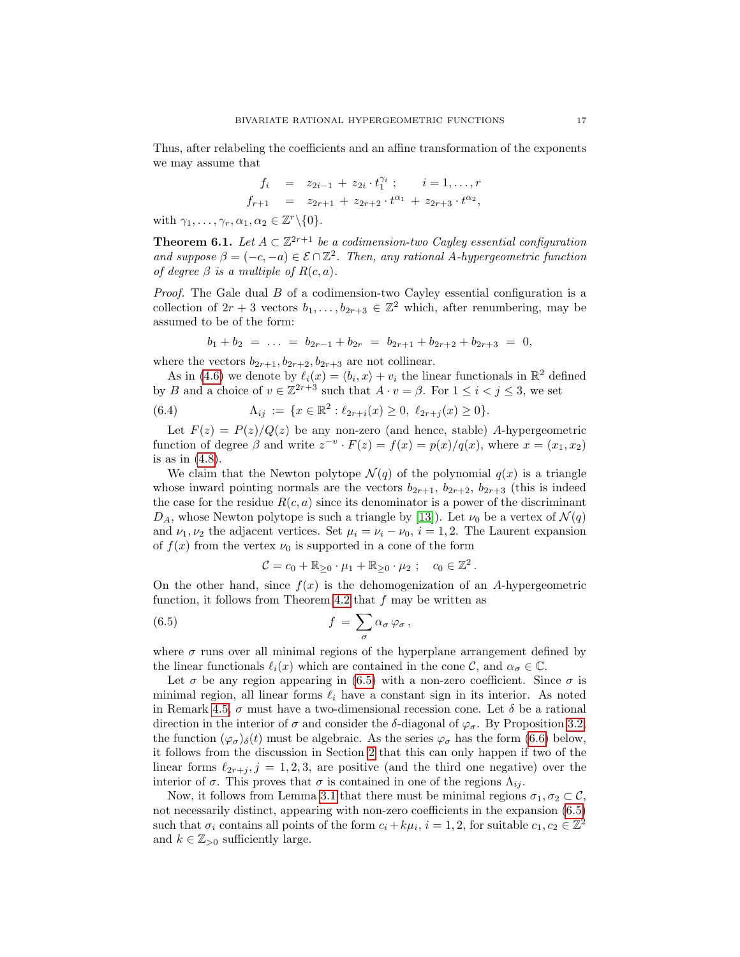Thus, after relabeling the coefficients and an affine transformation of the exponents we may assume that

$$
f_i = z_{2i-1} + z_{2i} \cdot t_1^{\gamma_i} ; \t i = 1, ..., r
$$
  

$$
f_{r+1} = z_{2r+1} + z_{2r+2} \cdot t^{\alpha_1} + z_{2r+3} \cdot t^{\alpha_2},
$$

with  $\gamma_1, \ldots, \gamma_r, \alpha_1, \alpha_2 \in \mathbb{Z}^r \backslash \{0\}.$ 

<span id="page-16-0"></span>**Theorem 6.1.** Let  $A \subset \mathbb{Z}^{2r+1}$  be a codimension-two Cayley essential configuration and suppose  $\beta = (-c, -a) \in \mathcal{E} \cap \mathbb{Z}^2$ . Then, any rational A-hypergeometric function of degree  $\beta$  is a multiple of  $R(c, a)$ .

*Proof.* The Gale dual  $B$  of a codimension-two Cayley essential configuration is a collection of  $2r + 3$  vectors  $b_1, \ldots, b_{2r+3} \in \mathbb{Z}^2$  which, after renumbering, may be assumed to be of the form:

$$
b_1 + b_2 = \ldots = b_{2r-1} + b_{2r} = b_{2r+1} + b_{2r+2} + b_{2r+3} = 0,
$$

where the vectors  $b_{2r+1}, b_{2r+2}, b_{2r+3}$  are not collinear.

As in [\(4.6\)](#page-9-0) we denote by  $\ell_i(x) = \langle b_i, x \rangle + v_i$  the linear functionals in  $\mathbb{R}^2$  defined by B and a choice of  $v \in \mathbb{Z}^{2r+3}$  such that  $A \cdot v = \beta$ . For  $1 \leq i < j \leq 3$ , we set

(6.4) 
$$
\Lambda_{ij} := \{x \in \mathbb{R}^2 : \ell_{2r+i}(x) \ge 0, \ \ell_{2r+j}(x) \ge 0\}.
$$

Let  $F(z) = P(z)/Q(z)$  be any non-zero (and hence, stable) A-hypergeometric function of degree  $\beta$  and write  $z^{-v} \cdot F(z) = f(x) = p(x)/q(x)$ , where  $x = (x_1, x_2)$ is as in  $(4.8)$ .

We claim that the Newton polytope  $\mathcal{N}(q)$  of the polynomial  $q(x)$  is a triangle whose inward pointing normals are the vectors  $b_{2r+1}$ ,  $b_{2r+2}$ ,  $b_{2r+3}$  (this is indeed the case for the residue  $R(c, a)$  since its denominator is a power of the discriminant  $D_A$ , whose Newton polytope is such a triangle by [\[13\]](#page-24-20)). Let  $\nu_0$  be a vertex of  $\mathcal{N}(q)$ and  $\nu_1, \nu_2$  the adjacent vertices. Set  $\mu_i = \nu_i - \nu_0$ ,  $i = 1, 2$ . The Laurent expansion of  $f(x)$  from the vertex  $\nu_0$  is supported in a cone of the form

<span id="page-16-1"></span>
$$
\mathcal{C} = c_0 + \mathbb{R}_{\geq 0} \cdot \mu_1 + \mathbb{R}_{\geq 0} \cdot \mu_2 ; \quad c_0 \in \mathbb{Z}^2.
$$

On the other hand, since  $f(x)$  is the dehomogenization of an A-hypergeometric function, it follows from Theorem [4.2](#page-8-2) that  $f$  may be written as

(6.5) 
$$
f = \sum_{\sigma} \alpha_{\sigma} \varphi_{\sigma},
$$

where  $\sigma$  runs over all minimal regions of the hyperplane arrangement defined by the linear functionals  $\ell_i(x)$  which are contained in the cone C, and  $\alpha_{\sigma} \in \mathbb{C}$ .

Let  $\sigma$  be any region appearing in [\(6.5\)](#page-16-1) with a non-zero coefficient. Since  $\sigma$  is minimal region, all linear forms  $\ell_i$  have a constant sign in its interior. As noted in Remark [4.5,](#page-10-4)  $\sigma$  must have a two-dimensional recession cone. Let  $\delta$  be a rational direction in the interior of  $\sigma$  and consider the δ-diagonal of  $\varphi_{\sigma}$ . By Proposition [3.2,](#page-7-2) the function  $(\varphi_{\sigma})_{\delta}(t)$  must be algebraic. As the series  $\varphi_{\sigma}$  has the form [\(6.6\)](#page-17-0) below, it follows from the discussion in Section [2](#page-3-3) that this can only happen if two of the linear forms  $\ell_{2r+i}$ ,  $j = 1, 2, 3$ , are positive (and the third one negative) over the interior of  $\sigma$ . This proves that  $\sigma$  is contained in one of the regions  $\Lambda_{ij}$ .

Now, it follows from Lemma [3.1](#page-6-1) that there must be minimal regions  $\sigma_1, \sigma_2 \subset \mathcal{C}$ , not necessarily distinct, appearing with non-zero coefficients in the expansion [\(6.5\)](#page-16-1) such that  $\sigma_i$  contains all points of the form  $c_i + k\mu_i$ ,  $i = 1, 2$ , for suitable  $c_1, c_2 \in \mathbb{Z}^2$ and  $k \in \mathbb{Z}_{>0}$  sufficiently large.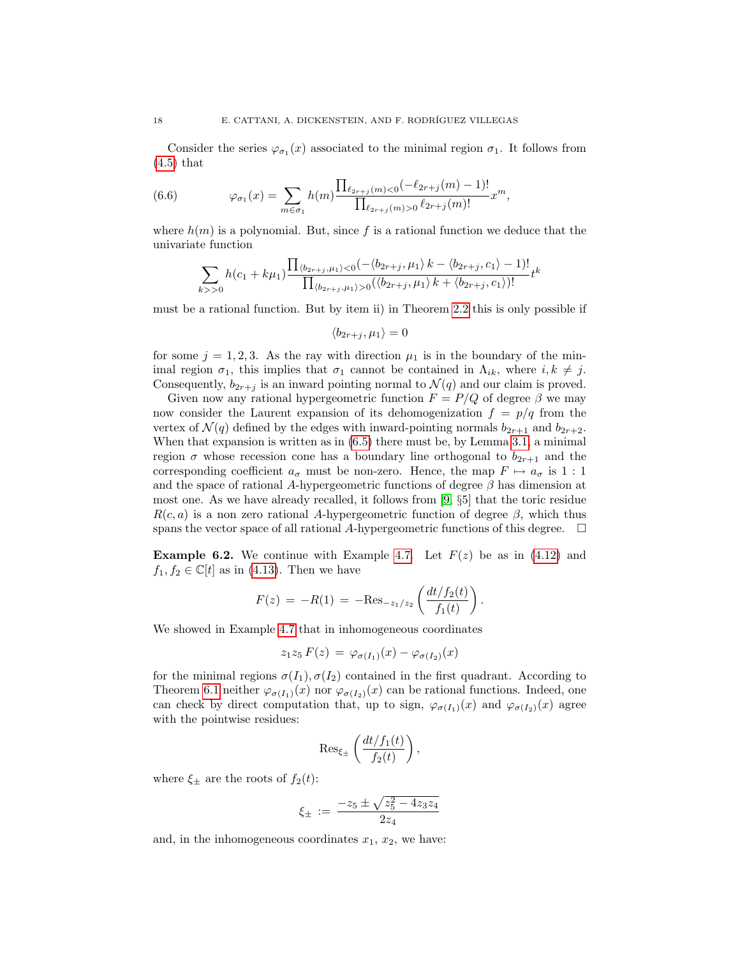Consider the series  $\varphi_{\sigma_1}(x)$  associated to the minimal region  $\sigma_1$ . It follows from  $(4.5)$  that

<span id="page-17-0"></span>(6.6) 
$$
\varphi_{\sigma_1}(x) = \sum_{m \in \sigma_1} h(m) \frac{\prod_{\ell_{2r+j}(m) < 0} (-\ell_{2r+j}(m) - 1)!}{\prod_{\ell_{2r+j}(m) > 0} \ell_{2r+j}(m)!} x^m,
$$

where  $h(m)$  is a polynomial. But, since f is a rational function we deduce that the univariate function

$$
\sum_{k>>0} h(c_1+k\mu_1) \frac{\prod_{\langle b_{2r+j},\mu_1\rangle<0} (-\langle b_{2r+j},\mu_1\rangle k - \langle b_{2r+j},c_1\rangle - 1)!}{\prod_{\langle b_{2r+j},\mu_1\rangle>0} (\langle b_{2r+j},\mu_1\rangle k + \langle b_{2r+j},c_1\rangle)!} t^k
$$

must be a rational function. But by item ii) in Theorem [2.2](#page-4-0) this is only possible if

$$
\langle b_{2r+j}, \mu_1 \rangle = 0
$$

for some  $j = 1, 2, 3$ . As the ray with direction  $\mu_1$  is in the boundary of the minimal region  $\sigma_1$ , this implies that  $\sigma_1$  cannot be contained in  $\Lambda_{ik}$ , where  $i, k \neq j$ . Consequently,  $b_{2r+i}$  is an inward pointing normal to  $\mathcal{N}(q)$  and our claim is proved.

Given now any rational hypergeometric function  $F = P/Q$  of degree  $\beta$  we may now consider the Laurent expansion of its dehomogenization  $f = p/q$  from the vertex of  $\mathcal{N}(q)$  defined by the edges with inward-pointing normals  $b_{2r+1}$  and  $b_{2r+2}$ . When that expansion is written as in [\(6.5\)](#page-16-1) there must be, by Lemma [3.1,](#page-6-1) a minimal region  $\sigma$  whose recession cone has a boundary line orthogonal to  $b_{2r+1}$  and the corresponding coefficient  $a_{\sigma}$  must be non-zero. Hence, the map  $F \mapsto a_{\sigma}$  is 1 : 1 and the space of rational A-hypergeometric functions of degree  $\beta$  has dimension at most one. As we have already recalled, it follows from [\[9,](#page-23-2) §5] that the toric residue  $R(c, a)$  is a non zero rational A-hypergeometric function of degree  $\beta$ , which thus spans the vector space of all rational A-hypergeometric functions of this degree.  $\Box$ 

**Example 6.2.** We continue with Example [4.7.](#page-10-1) Let  $F(z)$  be as in [\(4.12\)](#page-10-3) and  $f_1, f_2 \in \mathbb{C}[t]$  as in [\(4.13\)](#page-10-5). Then we have

$$
F(z) = -R(1) = -\text{Res}_{-z_1/z_2}\left(\frac{dt/f_2(t)}{f_1(t)}\right).
$$

We showed in Example [4.7](#page-10-1) that in inhomogeneous coordinates

$$
z_1 z_5 F(z) = \varphi_{\sigma(I_1)}(x) - \varphi_{\sigma(I_2)}(x)
$$

for the minimal regions  $\sigma(I_1), \sigma(I_2)$  contained in the first quadrant. According to Theorem [6.1](#page-16-0) neither  $\varphi_{\sigma(I_1)}(x)$  nor  $\varphi_{\sigma(I_2)}(x)$  can be rational functions. Indeed, one can check by direct computation that, up to sign,  $\varphi_{\sigma(I_1)}(x)$  and  $\varphi_{\sigma(I_2)}(x)$  agree with the pointwise residues:

$$
\operatorname{Res}_{\xi_{\pm}}\left(\frac{dt/f_1(t)}{f_2(t)}\right),\,
$$

where  $\xi_{\pm}$  are the roots of  $f_2(t)$ :

$$
\xi_{\pm} := \frac{-z_5 \pm \sqrt{z_5^2 - 4z_3z_4}}{2z_4}
$$

and, in the inhomogeneous coordinates  $x_1, x_2$ , we have: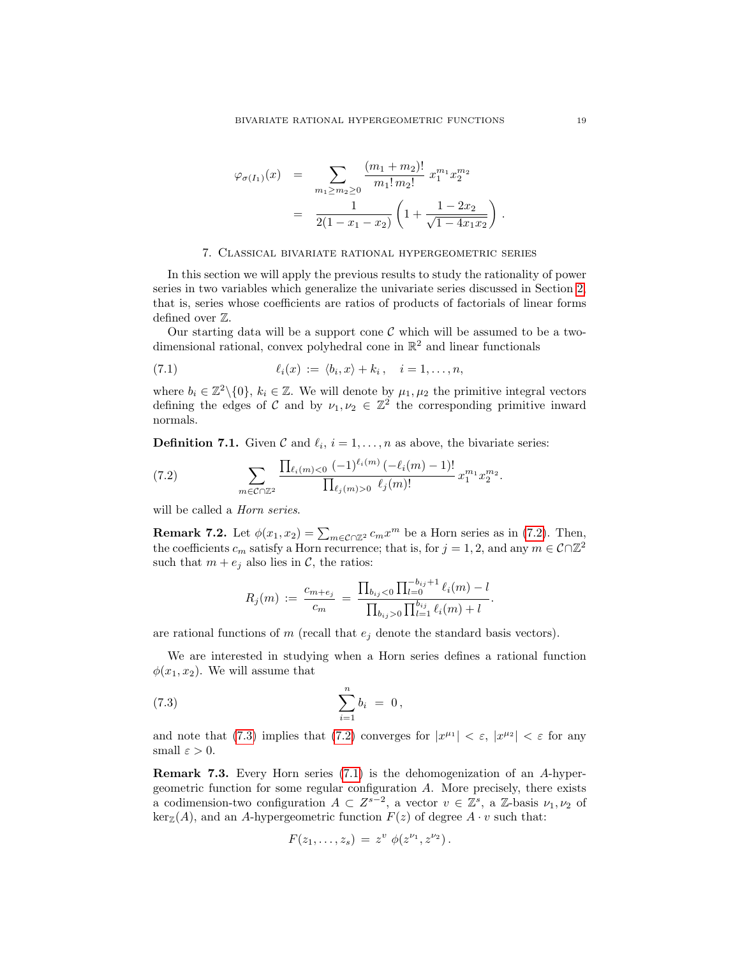$$
\varphi_{\sigma(I_1)}(x) = \sum_{m_1 \ge m_2 \ge 0} \frac{(m_1 + m_2)!}{m_1! m_2!} x_1^{m_1} x_2^{m_2}
$$
  
= 
$$
\frac{1}{2(1 - x_1 - x_2)} \left( 1 + \frac{1 - 2x_2}{\sqrt{1 - 4x_1 x_2}} \right).
$$

#### 7. Classical bivariate rational hypergeometric series

<span id="page-18-0"></span>In this section we will apply the previous results to study the rationality of power series in two variables which generalize the univariate series discussed in Section [2,](#page-3-3) that is, series whose coefficients are ratios of products of factorials of linear forms defined over Z.

Our starting data will be a support cone  $\mathcal C$  which will be assumed to be a twodimensional rational, convex polyhedral cone in  $\mathbb{R}^2$  and linear functionals

(7.1) 
$$
\ell_i(x) := \langle b_i, x \rangle + k_i, \quad i = 1, \dots, n,
$$

where  $b_i \in \mathbb{Z}^2 \setminus \{0\}$ ,  $k_i \in \mathbb{Z}$ . We will denote by  $\mu_1, \mu_2$  the primitive integral vectors defining the edges of C and by  $\nu_1, \nu_2 \in \mathbb{Z}^2$  the corresponding primitive inward normals.

<span id="page-18-1"></span>**Definition 7.1.** Given  $\mathcal{C}$  and  $\ell_i$ ,  $i = 1, \ldots, n$  as above, the bivariate series:

<span id="page-18-3"></span>(7.2) 
$$
\sum_{m \in \mathcal{C} \cap \mathbb{Z}^2} \frac{\prod_{\ell_i(m) < 0} (-1)^{\ell_i(m)} \left( -\ell_i(m) - 1 \right)!}{\prod_{\ell_j(m) > 0} \ell_j(m)!} x_1^{m_1} x_2^{m_2}.
$$

will be called a *Horn series*.

<span id="page-18-2"></span>**Remark 7.2.** Let  $\phi(x_1, x_2) = \sum_{m \in \mathcal{C} \cap \mathbb{Z}^2} c_m x^m$  be a Horn series as in [\(7.2\)](#page-18-3). Then, the coefficients  $c_m$  satisfy a Horn recurrence; that is, for  $j = 1, 2$ , and any  $m \in \mathcal{C} \cap \mathbb{Z}^2$ such that  $m + e_j$  also lies in C, the ratios:

<span id="page-18-4"></span>
$$
R_j(m) := \frac{c_{m+e_j}}{c_m} = \frac{\prod_{b_{ij} < 0} \prod_{l=0}^{-b_{ij}+1} \ell_i(m) - l}{\prod_{b_{ij} > 0} \prod_{l=1}^{b_{ij}} \ell_i(m) + l}.
$$

are rational functions of  $m$  (recall that  $e_i$  denote the standard basis vectors).

We are interested in studying when a Horn series defines a rational function  $\phi(x_1, x_2)$ . We will assume that

(7.3) 
$$
\sum_{i=1}^{n} b_i = 0,
$$

and note that [\(7.3\)](#page-18-4) implies that [\(7.2\)](#page-18-3) converges for  $|x^{\mu_1}| < \varepsilon$ ,  $|x^{\mu_2}| < \varepsilon$  for any small  $\varepsilon > 0$ .

<span id="page-18-5"></span>Remark 7.3. Every Horn series [\(7.1\)](#page-18-1) is the dehomogenization of an A-hypergeometric function for some regular configuration A. More precisely, there exists a codimension-two configuration  $A \subset Z^{s-2}$ , a vector  $v \in \mathbb{Z}^s$ , a  $\mathbb{Z}$ -basis  $\nu_1, \nu_2$  of  $\ker_{\mathbb{Z}}(A)$ , and an A-hypergeometric function  $F(z)$  of degree  $A \cdot v$  such that:

$$
F(z_1,\ldots,z_s) = z^v \phi(z^{\nu_1},z^{\nu_2}).
$$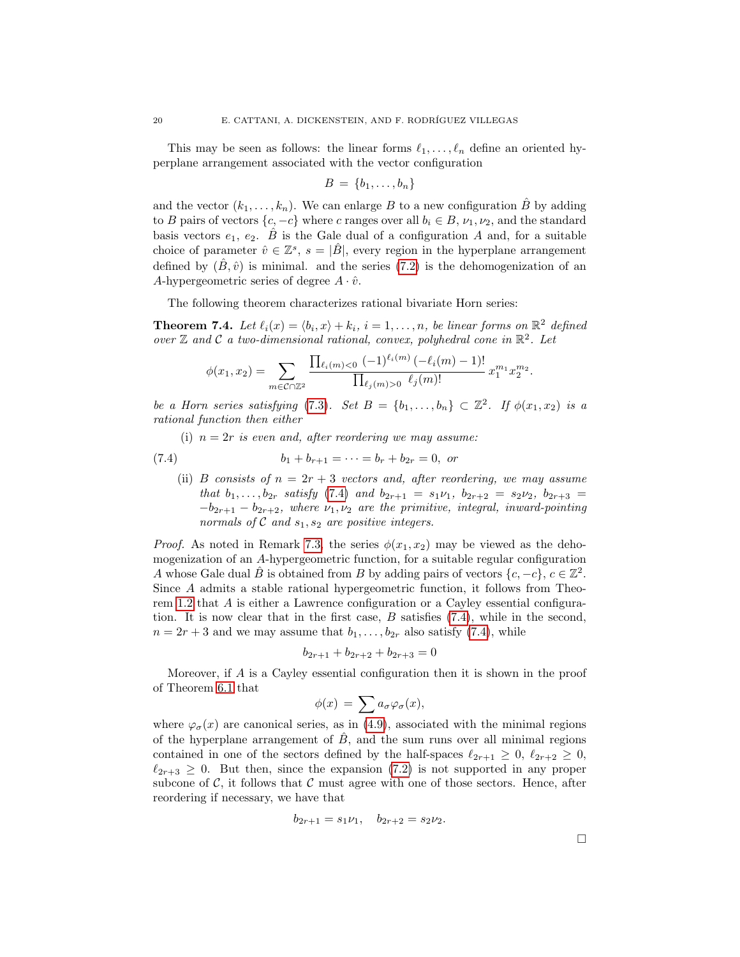This may be seen as follows: the linear forms  $\ell_1, \ldots, \ell_n$  define an oriented hyperplane arrangement associated with the vector configuration

$$
B = \{b_1, \ldots, b_n\}
$$

and the vector  $(k_1, \ldots, k_n)$ . We can enlarge B to a new configuration  $\hat{B}$  by adding to B pairs of vectors  $\{c, -c\}$  where c ranges over all  $b_i \in B$ ,  $\nu_1, \nu_2$ , and the standard basis vectors  $e_1, e_2$ .  $\hat{B}$  is the Gale dual of a configuration A and, for a suitable choice of parameter  $\hat{v} \in \mathbb{Z}^s$ ,  $s = |\hat{B}|$ , every region in the hyperplane arrangement defined by  $(\hat{B}, \hat{v})$  is minimal. and the series [\(7.2\)](#page-18-3) is the dehomogenization of an A-hypergeometric series of degree  $A \cdot \hat{v}$ .

The following theorem characterizes rational bivariate Horn series:

<span id="page-19-0"></span>**Theorem 7.4.** Let  $\ell_i(x) = \langle b_i, x \rangle + k_i$ ,  $i = 1, ..., n$ , be linear forms on  $\mathbb{R}^2$  defined over  $\mathbb Z$  and  $\mathcal C$  a two-dimensional rational, convex, polyhedral cone in  $\mathbb R^2$ . Let

$$
\phi(x_1, x_2) = \sum_{m \in \mathcal{C} \cap \mathbb{Z}^2} \frac{\prod_{\ell_i(m) < 0} (-1)^{\ell_i(m)} (-\ell_i(m) - 1)!}{\prod_{\ell_j(m) > 0} \ell_j(m)!} x_1^{m_1} x_2^{m_2}.
$$

be a Horn series satisfying [\(7.3\)](#page-18-4). Set  $B = \{b_1, \ldots, b_n\} \subset \mathbb{Z}^2$ . If  $\phi(x_1, x_2)$  is a rational function then either

(i)  $n = 2r$  is even and, after reordering we may assume:

(7.4) 
$$
b_1 + b_{r+1} = \cdots = b_r + b_{2r} = 0, \text{ or}
$$

<span id="page-19-1"></span>(ii) B consists of  $n = 2r + 3$  vectors and, after reordering, we may assume that  $b_1, \ldots, b_{2r}$  satisfy [\(7.4\)](#page-19-1) and  $b_{2r+1} = s_1 \nu_1, b_{2r+2} = s_2 \nu_2, b_{2r+3}$  $-b_{2r+1} - b_{2r+2}$ , where  $\nu_1, \nu_2$  are the primitive, integral, inward-pointing normals of C and  $s_1, s_2$  are positive integers.

*Proof.* As noted in Remark [7.3,](#page-18-5) the series  $\phi(x_1, x_2)$  may be viewed as the dehomogenization of an A-hypergeometric function, for a suitable regular configuration A whose Gale dual  $\hat{B}$  is obtained from B by adding pairs of vectors  $\{c, -c\}, c \in \mathbb{Z}^2$ . Since A admits a stable rational hypergeometric function, it follows from Theorem [1.2](#page-2-0) that A is either a Lawrence configuration or a Cayley essential configuration. It is now clear that in the first case, B satisfies [\(7.4\)](#page-19-1), while in the second,  $n = 2r + 3$  and we may assume that  $b_1, \ldots, b_{2r}$  also satisfy [\(7.4\)](#page-19-1), while

$$
b_{2r+1} + b_{2r+2} + b_{2r+3} = 0
$$

Moreover, if A is a Cayley essential configuration then it is shown in the proof of Theorem [6.1](#page-16-0) that

$$
\phi(x) = \sum a_{\sigma} \varphi_{\sigma}(x),
$$

<span id="page-19-2"></span>where  $\varphi_{\sigma}(x)$  are canonical series, as in [\(4.9\)](#page-9-1), associated with the minimal regions of the hyperplane arrangement of  $\tilde{B}$ , and the sum runs over all minimal regions contained in one of the sectors defined by the half-spaces  $\ell_{2r+1} \geq 0$ ,  $\ell_{2r+2} \geq 0$ ,  $\ell_{2r+3} \geq 0$ . But then, since the expansion [\(7.2\)](#page-18-3) is not supported in any proper subcone of  $\mathcal{C}$ , it follows that  $\mathcal{C}$  must agree with one of those sectors. Hence, after reordering if necessary, we have that

$$
b_{2r+1} = s_1 \nu_1, \quad b_{2r+2} = s_2 \nu_2.
$$

 $\Box$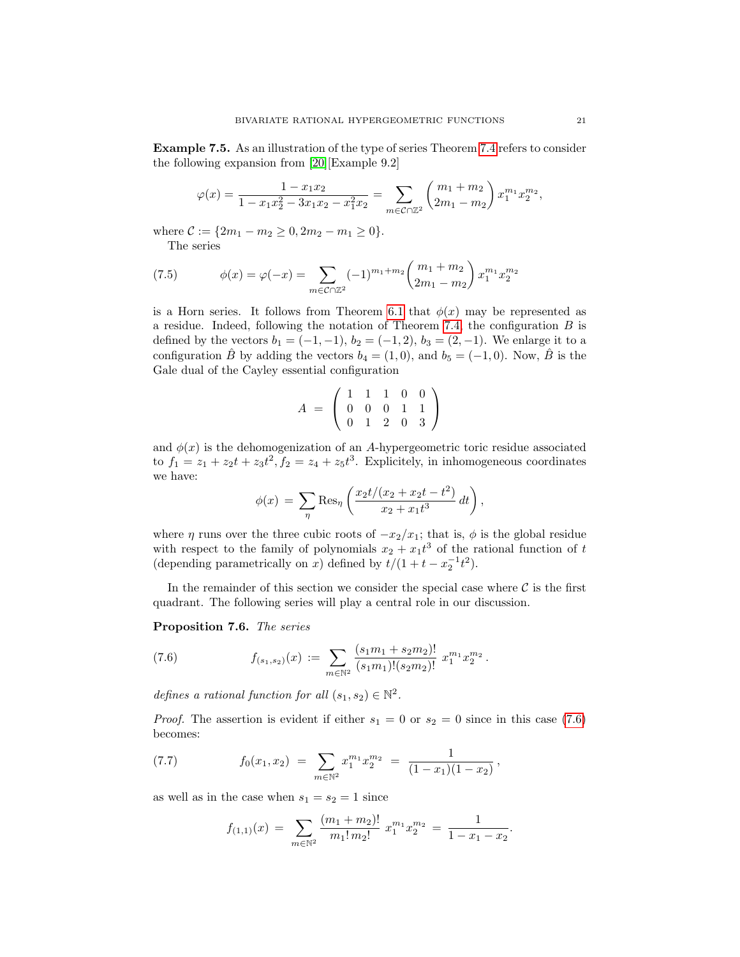Example 7.5. As an illustration of the type of series Theorem [7.4](#page-19-0) refers to consider the following expansion from [\[20\]](#page-24-21)[Example 9.2]

$$
\varphi(x) = \frac{1 - x_1 x_2}{1 - x_1 x_2^2 - 3x_1 x_2 - x_1^2 x_2} = \sum_{m \in \mathcal{C} \cap \mathbb{Z}^2} \left( \frac{m_1 + m_2}{2m_1 - m_2} \right) x_1^{m_1} x_2^{m_2},
$$

where  $C := \{2m_1 - m_2 \geq 0, 2m_2 - m_1 \geq 0\}.$ 

<span id="page-20-2"></span>The series

(7.5) 
$$
\phi(x) = \varphi(-x) = \sum_{m \in \mathcal{C} \cap \mathbb{Z}^2} (-1)^{m_1 + m_2} \binom{m_1 + m_2}{2m_1 - m_2} x_1^{m_1} x_2^{m_2}
$$

is a Horn series. It follows from Theorem [6.1](#page-16-0) that  $\phi(x)$  may be represented as a residue. Indeed, following the notation of Theorem [7.4,](#page-19-0) the configuration  $B$  is defined by the vectors  $b_1 = (-1, -1)$ ,  $b_2 = (-1, 2)$ ,  $b_3 = (2, -1)$ . We enlarge it to a configuration  $\hat{B}$  by adding the vectors  $b_4 = (1,0)$ , and  $b_5 = (-1,0)$ . Now,  $\hat{B}$  is the Gale dual of the Cayley essential configuration

$$
A = \left(\begin{array}{rrrr} 1 & 1 & 1 & 0 & 0 \\ 0 & 0 & 0 & 1 & 1 \\ 0 & 1 & 2 & 0 & 3 \end{array}\right)
$$

and  $\phi(x)$  is the dehomogenization of an A-hypergeometric toric residue associated to  $f_1 = z_1 + z_2t + z_3t^2$ ,  $f_2 = z_4 + z_5t^3$ . Explicitely, in inhomogeneous coordinates we have:

$$
\phi(x) = \sum_{\eta} \text{Res}_{\eta} \left( \frac{x_2 t/(x_2 + x_2 t - t^2)}{x_2 + x_1 t^3} dt \right),
$$

where  $\eta$  runs over the three cubic roots of  $-x_2/x_1$ ; that is,  $\phi$  is the global residue with respect to the family of polynomials  $x_2 + x_1 t^3$  of the rational function of t (depending parametrically on x) defined by  $t/(1 + t - x_2^{-1}t^2)$ .

In the remainder of this section we consider the special case where  $\mathcal C$  is the first quadrant. The following series will play a central role in our discussion.

<span id="page-20-1"></span>Proposition 7.6. The series

<span id="page-20-0"></span>(7.6) 
$$
f_{(s_1, s_2)}(x) := \sum_{m \in \mathbb{N}^2} \frac{(s_1 m_1 + s_2 m_2)!}{(s_1 m_1)!(s_2 m_2)!} x_1^{m_1} x_2^{m_2}.
$$

defines a rational function for all  $(s_1, s_2) \in \mathbb{N}^2$ .

*Proof.* The assertion is evident if either  $s_1 = 0$  or  $s_2 = 0$  since in this case [\(7.6\)](#page-20-0) becomes:

(7.7) 
$$
f_0(x_1,x_2) = \sum_{m \in \mathbb{N}^2} x_1^{m_1} x_2^{m_2} = \frac{1}{(1-x_1)(1-x_2)},
$$

as well as in the case when  $s_1 = s_2 = 1$  since

$$
f_{(1,1)}(x) = \sum_{m \in \mathbb{N}^2} \frac{(m_1 + m_2)!}{m_1! m_2!} x_1^{m_1} x_2^{m_2} = \frac{1}{1 - x_1 - x_2}.
$$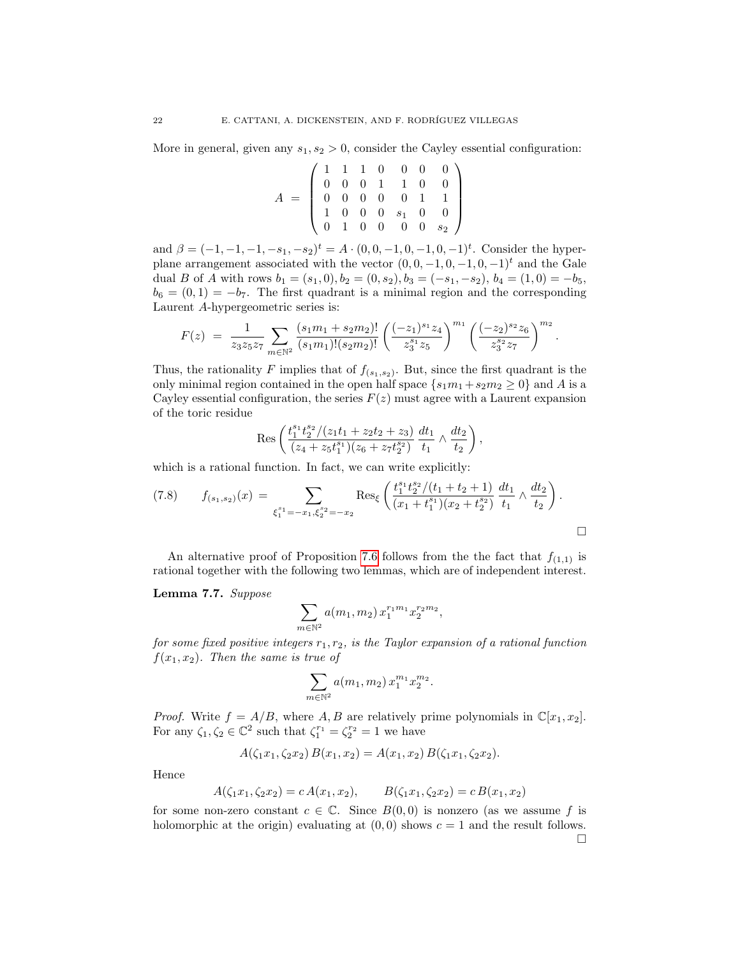More in general, given any  $s_1, s_2 > 0$ , consider the Cayley essential configuration:

$$
A = \left(\begin{array}{cccccc} 1 & 1 & 1 & 0 & 0 & 0 & 0 \\ 0 & 0 & 0 & 1 & 1 & 0 & 0 \\ 0 & 0 & 0 & 0 & 0 & 1 & 1 \\ 1 & 0 & 0 & 0 & s_1 & 0 & 0 \\ 0 & 1 & 0 & 0 & 0 & 0 & s_2 \end{array}\right)
$$

and  $\beta = (-1, -1, -1, -s_1, -s_2)^t = A \cdot (0, 0, -1, 0, -1, 0, -1)^t$ . Consider the hyperplane arrangement associated with the vector  $(0, 0, -1, 0, -1, 0, -1)^t$  and the Gale dual B of A with rows  $b_1 = (s_1, 0), b_2 = (0, s_2), b_3 = (-s_1, -s_2), b_4 = (1, 0) = -b_5$ ,  $b_6 = (0, 1) = -b_7$ . The first quadrant is a minimal region and the corresponding Laurent A-hypergeometric series is:

$$
F(z) = \frac{1}{z_3 z_5 z_7} \sum_{m \in \mathbb{N}^2} \frac{(s_1 m_1 + s_2 m_2)!}{(s_1 m_1)!(s_2 m_2)!} \left(\frac{(-z_1)^{s_1} z_4}{z_3^{s_1} z_5}\right)^{m_1} \left(\frac{(-z_2)^{s_2} z_6}{z_3^{s_2} z_7}\right)^{m_2}.
$$

Thus, the rationality F implies that of  $f_{(s_1,s_2)}$ . But, since the first quadrant is the only minimal region contained in the open half space  $\{s_1m_1+s_2m_2\geq 0\}$  and A is a Cayley essential configuration, the series  $F(z)$  must agree with a Laurent expansion of the toric residue

$$
\text{Res}\left(\frac{t_1^{s_1}t_2^{s_2}/(z_1t_1+z_2t_2+z_3)}{(z_4+z_5t_1^{s_1})(z_6+z_7t_2^{s_2})}\frac{dt_1}{t_1}\wedge\frac{dt_2}{t_2}\right),
$$

which is a rational function. In fact, we can write explicitly:

<span id="page-21-1"></span>
$$
(7.8) \t f_{(s_1,s_2)}(x) = \sum_{\xi_1^{s_1} = -x_1, \xi_2^{s_2} = -x_2} \text{Res}_{\xi} \left( \frac{t_1^{s_1} t_2^{s_2} / (t_1 + t_2 + 1)}{(x_1 + t_1^{s_1})(x_2 + t_2^{s_2})} \frac{dt_1}{t_1} \wedge \frac{dt_2}{t_2} \right).
$$

An alternative proof of Proposition [7.6](#page-20-1) follows from the the fact that  $f_{(1,1)}$  is rational together with the following two lemmas, which are of independent interest.

## <span id="page-21-0"></span>Lemma 7.7. Suppose

$$
\sum_{m \in \mathbb{N}^2} a(m_1, m_2) x_1^{r_1 m_1} x_2^{r_2 m_2},
$$

for some fixed positive integers  $r_1, r_2$ , is the Taylor expansion of a rational function  $f(x_1, x_2)$ . Then the same is true of

$$
\sum_{m \in \mathbb{N}^2} a(m_1, m_2) x_1^{m_1} x_2^{m_2}.
$$

*Proof.* Write  $f = A/B$ , where A, B are relatively prime polynomials in  $\mathbb{C}[x_1, x_2]$ . For any  $\zeta_1, \zeta_2 \in \mathbb{C}^2$  such that  $\zeta_1^{r_1} = \zeta_2^{r_2} = 1$  we have

$$
A(\zeta_1 x_1, \zeta_2 x_2) B(x_1, x_2) = A(x_1, x_2) B(\zeta_1 x_1, \zeta_2 x_2).
$$

Hence

$$
A(\zeta_1 x_1, \zeta_2 x_2) = c A(x_1, x_2), \qquad B(\zeta_1 x_1, \zeta_2 x_2) = c B(x_1, x_2)
$$

<span id="page-21-2"></span>for some non-zero constant  $c \in \mathbb{C}$ . Since  $B(0,0)$  is nonzero (as we assume f is holomorphic at the origin) evaluating at  $(0, 0)$  shows  $c = 1$  and the result follows.  $\Box$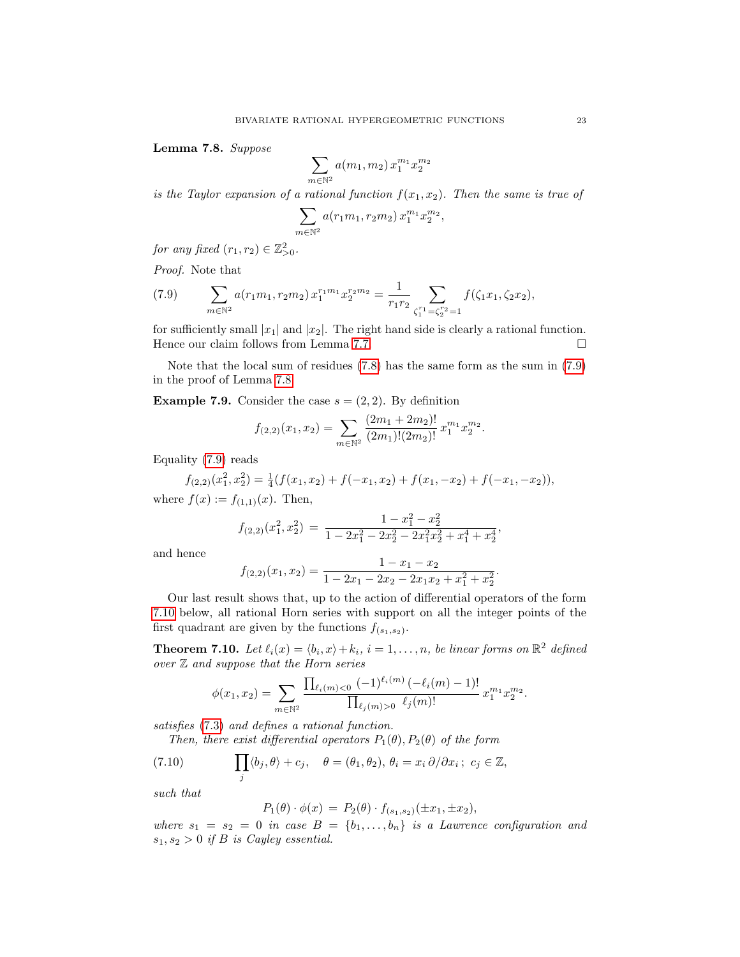Lemma 7.8. Suppose

$$
\sum_{m \in \mathbb{N}^2} a(m_1, m_2) x_1^{m_1} x_2^{m_2}
$$

is the Taylor expansion of a rational function  $f(x_1, x_2)$ . Then the same is true of

$$
\sum_{m \in \mathbb{N}^2} a(r_1 m_1, r_2 m_2) x_1^{m_1} x_2^{m_2},
$$

for any fixed  $(r_1, r_2) \in \mathbb{Z}_{>0}^2$ .

Proof. Note that

<span id="page-22-0"></span>(7.9) 
$$
\sum_{m \in \mathbb{N}^2} a(r_1 m_1, r_2 m_2) x_1^{r_1 m_1} x_2^{r_2 m_2} = \frac{1}{r_1 r_2} \sum_{\zeta_1^{r_1} = \zeta_2^{r_2} = 1} f(\zeta_1 x_1, \zeta_2 x_2),
$$

for sufficiently small  $|x_1|$  and  $|x_2|$ . The right hand side is clearly a rational function. Hence our claim follows from Lemma [7.7.](#page-21-0)

Note that the local sum of residues [\(7.8\)](#page-21-1) has the same form as the sum in [\(7.9\)](#page-22-0) in the proof of Lemma [7.8.](#page-21-2)

**Example 7.9.** Consider the case  $s = (2, 2)$ . By definition

$$
f_{(2,2)}(x_1,x_2) = \sum_{m \in \mathbb{N}^2} \frac{(2m_1 + 2m_2)!}{(2m_1)!(2m_2)!} x_1^{m_1} x_2^{m_2}.
$$

Equality [\(7.9\)](#page-22-0) reads

$$
f_{(2,2)}(x_1^2, x_2^2) = \frac{1}{4}(f(x_1, x_2) + f(-x_1, x_2) + f(x_1, -x_2) + f(-x_1, -x_2)),
$$

where  $f(x) := f_{(1,1)}(x)$ . Then,

$$
f_{(2,2)}(x_1^2, x_2^2) = \frac{1 - x_1^2 - x_2^2}{1 - 2x_1^2 - 2x_2^2 - 2x_1^2x_2^2 + x_1^4 + x_2^4},
$$

and hence

$$
f_{(2,2)}(x_1,x_2)=\frac{1-x_1-x_2}{1-2x_1-2x_2-2x_1x_2+x_1^2+x_2^2}.
$$

Our last result shows that, up to the action of differential operators of the form [7.10](#page-22-1) below, all rational Horn series with support on all the integer points of the first quadrant are given by the functions  $f_{(s_1,s_2)}$ .

**Theorem 7.10.** Let  $\ell_i(x) = \langle b_i, x \rangle + k_i$ ,  $i = 1, \ldots, n$ , be linear forms on  $\mathbb{R}^2$  defined  $over Z$  and suppose that the Horn series

$$
\phi(x_1, x_2) = \sum_{m \in \mathbb{N}^2} \frac{\prod_{\ell_i(m) < 0} (-1)^{\ell_i(m)} \left(-\ell_i(m) - 1\right)!}{\prod_{\ell_j(m) > 0} \ell_j(m)!} x_1^{m_1} x_2^{m_2}.
$$

satisfies [\(7.3\)](#page-18-4) and defines a rational function.

Then, there exist differential operators  $P_1(\theta), P_2(\theta)$  of the form

(7.10) 
$$
\prod_j \langle b_j, \theta \rangle + c_j, \quad \theta = (\theta_1, \theta_2), \ \theta_i = x_i \partial / \partial x_i; \ c_j \in \mathbb{Z},
$$

such that

<span id="page-22-1"></span>
$$
P_1(\theta) \cdot \phi(x) = P_2(\theta) \cdot f_{(s_1, s_2)}(\pm x_1, \pm x_2),
$$

where  $s_1 = s_2 = 0$  in case  $B = \{b_1, \ldots, b_n\}$  is a Lawrence configuration and  $s_1, s_2 > 0$  if B is Cayley essential.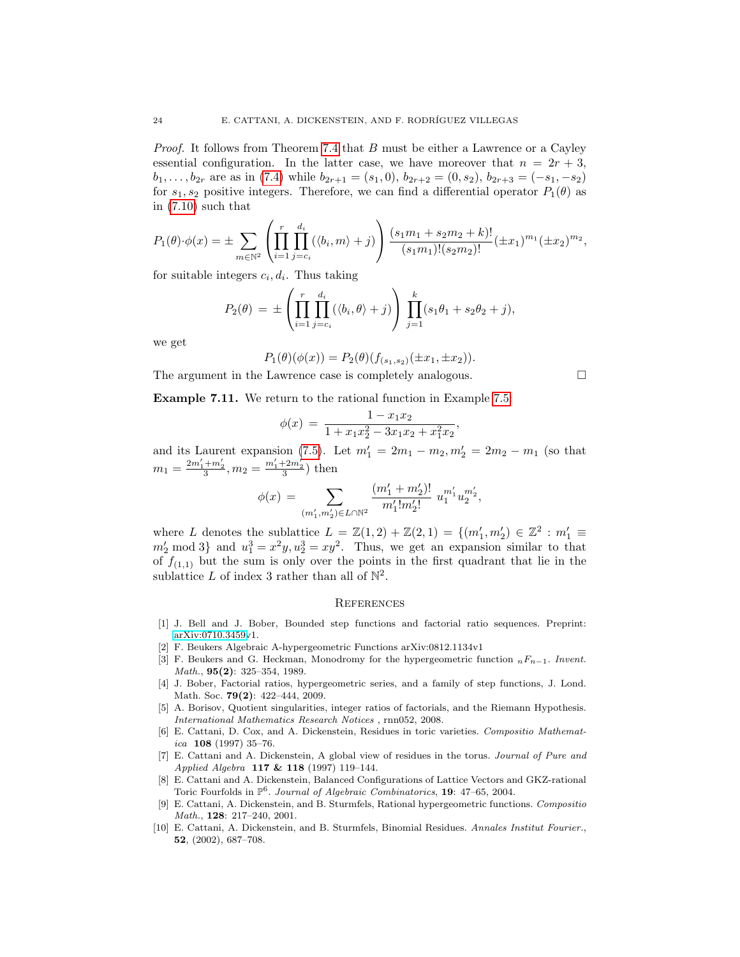Proof. It follows from Theorem [7.4](#page-19-0) that B must be either a Lawrence or a Cayley essential configuration. In the latter case, we have moreover that  $n = 2r + 3$ ,  $b_1, \ldots, b_{2r}$  are as in [\(7.4\)](#page-19-1) while  $b_{2r+1} = (s_1, 0), b_{2r+2} = (0, s_2), b_{2r+3} = (-s_1, -s_2)$ for  $s_1, s_2$  positive integers. Therefore, we can find a differential operator  $P_1(\theta)$  as in [\(7.10\)](#page-22-1) such that

$$
P_1(\theta)\cdot\phi(x) = \pm \sum_{m\in\mathbb{N}^2} \left( \prod_{i=1}^r \prod_{j=c_i}^{d_i} (\langle b_i, m \rangle + j) \right) \frac{(s_1m_1 + s_2m_2 + k)!}{(s_1m_1)!(s_2m_2)!} (\pm x_1)^{m_1} (\pm x_2)^{m_2},
$$

for suitable integers  $c_i, d_i$ . Thus taking

$$
P_2(\theta) = \pm \left( \prod_{i=1}^r \prod_{j=c_i}^{d_i} (\langle b_i, \theta \rangle + j) \right) \prod_{j=1}^k (s_1 \theta_1 + s_2 \theta_2 + j),
$$

we get

$$
P_1(\theta)(\phi(x)) = P_2(\theta)(f_{(s_1,s_2)}(\pm x_1, \pm x_2)).
$$

The argument in the Lawrence case is completely analogous.

Example 7.11. We return to the rational function in Example [7.5:](#page-19-2)

$$
\phi(x) = \frac{1 - x_1 x_2}{1 + x_1 x_2^2 - 3x_1 x_2 + x_1^2 x_2},
$$

and its Laurent expansion [\(7.5\)](#page-20-2). Let  $m'_1 = 2m_1 - m_2, m'_2 = 2m_2 - m_1$  (so that  $m_1 = \frac{2m'_1 + m'_2}{3}, m_2 = \frac{m'_1 + 2m'_2}{3}$  then

$$
\phi(x)\,=\,\sum_{(m_1',m_2')\in L\cap\mathbb{N}^2}\frac{(m_1'+m_2')!}{m_1'!m_2'!}\;u_1^{m_1'}u_2^{m_2'},
$$

where L denotes the sublattice  $L = \mathbb{Z}(1,2) + \mathbb{Z}(2,1) = \{(m'_1, m'_2) \in \mathbb{Z}^2 : m'_1 \equiv$  $m'_2 \mod 3$  and  $u_1^3 = x^2y, u_2^3 = xy^2$ . Thus, we get an expansion similar to that of  $f_{(1,1)}$  but the sum is only over the points in the first quadrant that lie in the sublattice L of index 3 rather than all of  $\mathbb{N}^2$ .

#### **REFERENCES**

- <span id="page-23-5"></span>[1] J. Bell and J. Bober, Bounded step functions and factorial ratio sequences. Preprint: [arXiv:0710.3459v](http://arxiv.org/abs/0710.3459)1.
- <span id="page-23-0"></span>[2] F. Beukers Algebraic A-hypergeometric Functions arXiv:0812.1134v1
- <span id="page-23-3"></span>[3] F. Beukers and G. Heckman, Monodromy for the hypergeometric function  $nF_{n-1}$ . Invent. Math., 95(2): 325–354, 1989.
- <span id="page-23-4"></span>[4] J. Bober, Factorial ratios, hypergeometric series, and a family of step functions, J. Lond. Math. Soc. **79(2)**: 422-444, 2009.
- <span id="page-23-6"></span>[5] A. Borisov, Quotient singularities, integer ratios of factorials, and the Riemann Hypothesis. International Mathematics Research Notices , rnn052, 2008.
- <span id="page-23-7"></span>[6] E. Cattani, D. Cox, and A. Dickenstein, Residues in toric varieties. Compositio Mathematica  $108$  (1997) 35-76.
- <span id="page-23-8"></span>[7] E. Cattani and A. Dickenstein, A global view of residues in the torus. Journal of Pure and Applied Algebra 117 & 118 (1997) 119–144.
- [8] E. Cattani and A. Dickenstein, Balanced Configurations of Lattice Vectors and GKZ-rational Toric Fourfolds in  $\mathbb{P}^6$ . Journal of Algebraic Combinatorics, 19: 47-65, 2004.
- <span id="page-23-2"></span>[9] E. Cattani, A. Dickenstein, and B. Sturmfels, Rational hypergeometric functions. Compositio Math., 128: 217–240, 2001.
- <span id="page-23-1"></span>[10] E. Cattani, A. Dickenstein, and B. Sturmfels, Binomial Residues. Annales Institut Fourier., 52, (2002), 687–708.